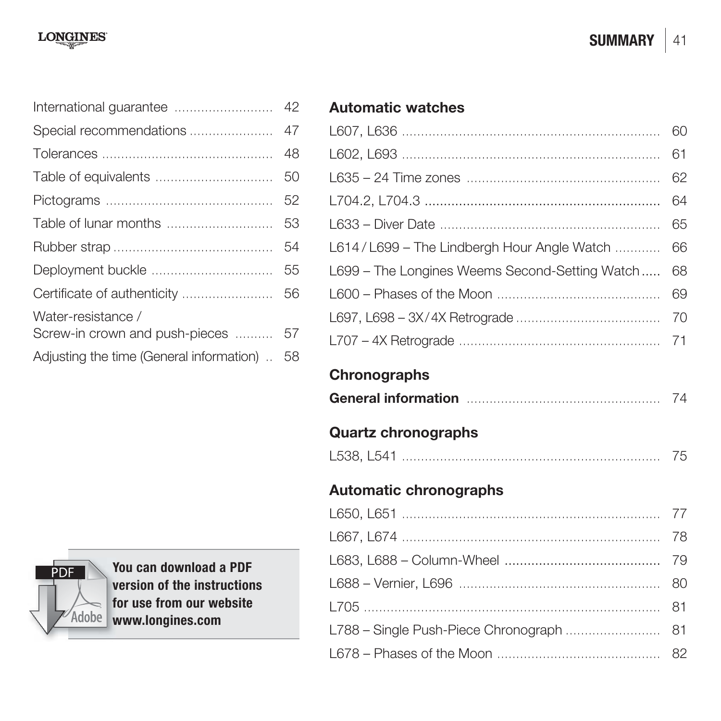|                                          | 42 |
|------------------------------------------|----|
| Special recommendations                  | 47 |
|                                          | 48 |
| Table of equivalents                     | 50 |
|                                          | 52 |
|                                          | 53 |
|                                          | 54 |
|                                          | 55 |
|                                          | 56 |
| Water-resistance /                       |    |
| Screw-in crown and push-pieces           | 57 |
| Adjusting the time (General information) | 58 |
|                                          |    |

# **PDF**  $\overline{\phantom{a}}$ Adobe

**You can download a PDF Y version of the instructions v for use from our website f www.longines.com w**

## **Automatic watches**

|                                                | 60 |
|------------------------------------------------|----|
|                                                | 61 |
|                                                | 62 |
|                                                | 64 |
|                                                | 65 |
| L614/L699 - The Lindbergh Hour Angle Watch     | 66 |
| L699 - The Longines Weems Second-Setting Watch | 68 |
|                                                | 69 |
|                                                | 70 |
|                                                | 71 |
| Chronographs                                   |    |
|                                                | 74 |
| <b>Quartz chronographs</b>                     |    |
|                                                | 75 |
|                                                |    |
| <b>Automatic chronographs</b>                  |    |
|                                                | 77 |
|                                                | 78 |
|                                                | 79 |
|                                                | 80 |
|                                                | 81 |
| L788 - Single Push-Piece Chronograph           | 81 |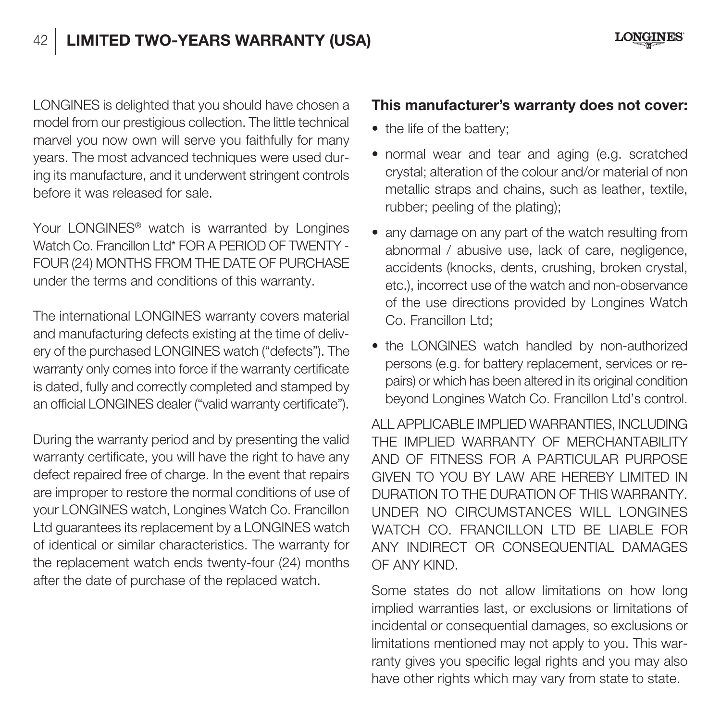# 42 **LIMITED TWO-YEARS WARRANTY (USA)**

LONGINES is delighted that you should have chosen a model from our prestigious collection. The little technical marvel you now own will serve you faithfully for many years. The most advanced techniques were used during its manufacture, and it underwent stringent controls before it was released for sale.

Your LONGINES® watch is warranted by Longines Watch Co. Francillon Ltd\* FOR A PERIOD OF TWENTY -FOUR (24) MONTHS FROM THE DATE OF PURCHASE under the terms and conditions of this warranty.

The international LONGINES warranty covers material and manufacturing defects existing at the time of delivery of the purchased LONGINES watch ("defects"). The warranty only comes into force if the warranty certificate is dated, fully and correctly completed and stamped by an official LONGINES dealer ("valid warranty certificate").

During the warranty period and by presenting the valid warranty certificate, you will have the right to have any defect repaired free of charge. In the event that repairs are improper to restore the normal conditions of use of your LONGINES watch, Longines Watch Co. Francillon Ltd guarantees its replacement by a LONGINES watch of identical or similar characteristics. The warranty for the replacement watch ends twenty-four (24) months after the date of purchase of the replaced watch.

#### **This manufacturer's warranty does not cover:**

- the life of the battery:
- normal wear and tear and aging (e.g. scratched crystal; alteration of the colour and/or material of non metallic straps and chains, such as leather, textile rubber; peeling of the plating);
- any damage on any part of the watch resulting from abnormal / abusive use, lack of care, negligence, accidents (knocks, dents, crushing, broken crystal, etc.), incorrect use of the watch and non-observance of the use directions provided by Longines Watch Co. Francillon Ltd:
- the LONGINES watch handled by non-authorized persons (e.g. for battery replacement, services or repairs) or which has been altered in its original condition beyond Longines Watch Co. Francillon Ltd's control.

ALL APPLICABLE IMPLIED WARRANTIES, INCLUDING THE IMPLIED WARRANTY OF MERCHANTABILITY AND OF FITNESS FOR A PARTICULAR PURPOSE GIVEN TO YOU BY LAW ARE HEREBY LIMITED IN DURATION TO THE DURATION OF THIS WARRANTY. UNDER NO CIRCUMSTANCES WILL LONGINES WATCH CO. FRANCILLON LTD BE LIABLE FOR ANY INDIRECT OR CONSEQUENTIAL DAMAGES OF ANY KIND.

Some states do not allow limitations on how long implied warranties last, or exclusions or limitations of incidental or consequential damages, so exclusions or limitations mentioned may not apply to you. This warranty gives you specific legal rights and you may also have other rights which may vary from state to state.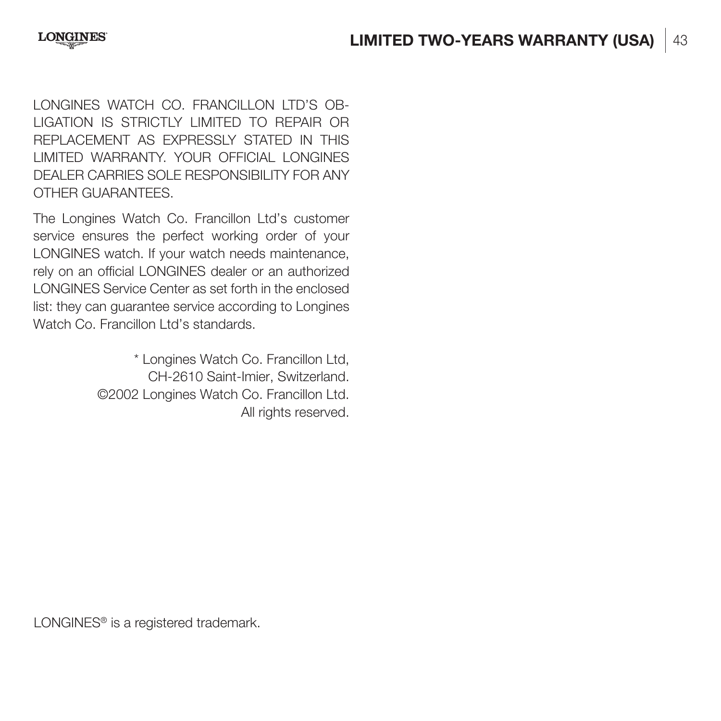LONGINES WATCH CO. FRANCILLON LTD'S OB-LIGATION IS STRICTLY LIMITED TO REPAIR OR REPLACEMENT AS EXPRESSLY STATED IN THIS LIMITED WARRANTY. YOUR OFFICIAL LONGINES DEALER CARRIES SOLE RESPONSIBILITY FOR ANY OTHER GUARANTEES.

The Longines Watch Co. Francillon Ltd's customer service ensures the perfect working order of your LONGINES watch. If your watch needs maintenance, rely on an official LONGINES dealer or an authorized LONGINES Service Center as set forth in the enclosed list: they can guarantee service according to Longines Watch Co. Francillon Ltd's standards.

> \* Longines Watch Co. Francillon Ltd, CH-2610 Saint-Imier, Switzerland. ©2002 Longines Watch Co. Francillon Ltd. All rights reserved.

LONGINES<sup>®</sup> is a registered trademark.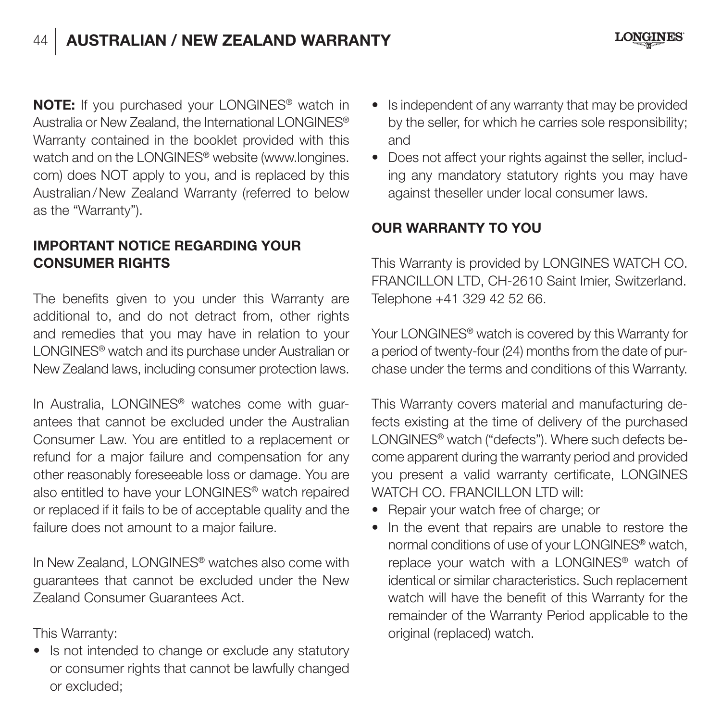# 44 **AUSTRALIAN / NEW ZEALAND WARRANTY**



**NOTE:** If you purchased your LONGINES® watch in Australia or New Zealand, the International LONGINES® Warranty contained in the booklet provided with this watch and on the LONGINES® website (www.longines. com) does NOT apply to you, and is replaced by this Australian / New Zealand Warranty (referred to below as the "Warranty").

#### **IMPORTANT NOTICE REGARDING YOUR CONSUMER RIGHTS**

The benefits given to you under this Warranty are additional to, and do not detract from, other rights and remedies that you may have in relation to your LONGINES® watch and its purchase under Australian or New Zealand laws, including consumer protection laws.

In Australia, LONGINES® watches come with guarantees that cannot be excluded under the Australian Consumer Law. You are entitled to a replacement or refund for a major failure and compensation for any other reasonably foreseeable loss or damage. You are also entitled to have your LONGINES® watch repaired or replaced if it fails to be of acceptable quality and the failure does not amount to a major failure.

In New Zealand, LONGINES® watches also come with guarantees that cannot be excluded under the New Zealand Consumer Guarantees Act.

This Warranty:

• Is not intended to change or exclude any statutory or consumer rights that cannot be lawfully changed or excluded;

- Is independent of any warranty that may be provided by the seller, for which he carries sole responsibility; and
- Does not affect your rights against the seller, including any mandatory statutory rights you may have against theseller under local consumer laws.

#### **OUR WARRANTY TO YOU**

This Warranty is provided by LONGINES WATCH CO. FRANCILLON LTD, CH-2610 Saint Imier, Switzerland. Telephone +41 329 42 52 66.

Your LONGINES<sup>®</sup> watch is covered by this Warranty for a period of twenty-four (24) months from the date of purchase under the terms and conditions of this Warranty.

This Warranty covers material and manufacturing defects existing at the time of delivery of the purchased LONGINES® watch ("defects"). Where such defects become apparent during the warranty period and provided you present a valid warranty certificate, LONGINES WATCH CO. FRANCILLON LTD will:

- Repair your watch free of charge; or
- In the event that repairs are unable to restore the normal conditions of use of your LONGINES® watch, replace your watch with a LONGINES® watch of identical or similar characteristics. Such replacement watch will have the benefit of this Warranty for the remainder of the Warranty Period applicable to the original (replaced) watch.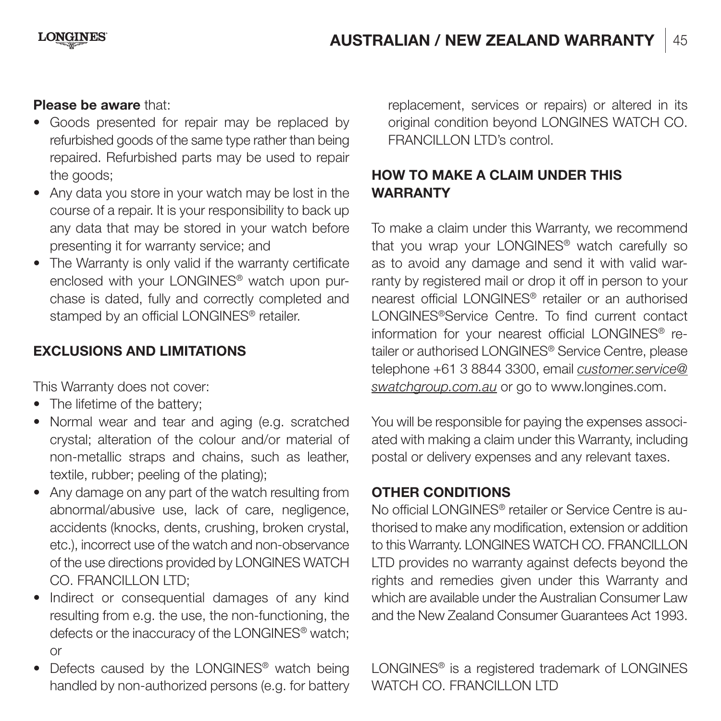#### **Please be aware** that:

- Goods presented for repair may be replaced by refurbished goods of the same type rather than being repaired. Refurbished parts may be used to repair the goods;
- Any data you store in your watch may be lost in the course of a repair. It is your responsibility to back up any data that may be stored in your watch before presenting it for warranty service; and
- The Warranty is only valid if the warranty certificate enclosed with your LONGINES® watch upon purchase is dated, fully and correctly completed and stamped by an official LONGINES® retailer.

#### **EXCLUSIONS AND LIMITATIONS**

This Warranty does not cover:

- The lifetime of the battery:
- Normal wear and tear and aging (e.g. scratched crystal; alteration of the colour and/or material of non-metallic straps and chains, such as leather, textile, rubber; peeling of the plating);
- Any damage on any part of the watch resulting from abnormal/abusive use, lack of care, negligence, accidents (knocks, dents, crushing, broken crystal, etc.), incorrect use of the watch and non-observance of the use directions provided by LONGINES WATCH CO. FRANCILLON LTD:
- Indirect or consequential damages of any kind resulting from e.g. the use, the non-functioning, the defects or the inaccuracy of the LONGINES® watch; or
- Defects caused by the LONGINES<sup>®</sup> watch being handled by non-authorized persons (e.g. for battery

replacement, services or repairs) or altered in its original condition beyond LONGINES WATCH CO. FRANCILLON LTD's control.

#### **HOW TO MAKE A CLAIM UNDER THIS WARRANTY**

To make a claim under this Warranty, we recommend that you wrap your LONGINES® watch carefully so as to avoid any damage and send it with valid warranty by registered mail or drop it off in person to your nearest official LONGINES® retailer or an authorised LONGINES®Service Centre. To find current contact information for your nearest official LONGINES® retailer or authorised LONGINES® Service Centre, please telephone +61 3 8844 3300, email customer.service@ swatchgroup.com.au or go to www.longines.com.

You will be responsible for paying the expenses associated with making a claim under this Warranty, including postal or delivery expenses and any relevant taxes.

#### **OTHER CONDITIONS**

No official LONGINES® retailer or Service Centre is authorised to make any modification, extension or addition to this Warranty. LONGINES WATCH CO. FRANCILLON LTD provides no warranty against defects beyond the rights and remedies given under this Warranty and which are available under the Australian Consumer Law and the New Zealand Consumer Guarantees Act 1993.

LONGINES® is a registered trademark of LONGINES WATCH CO. FRANCILLON LTD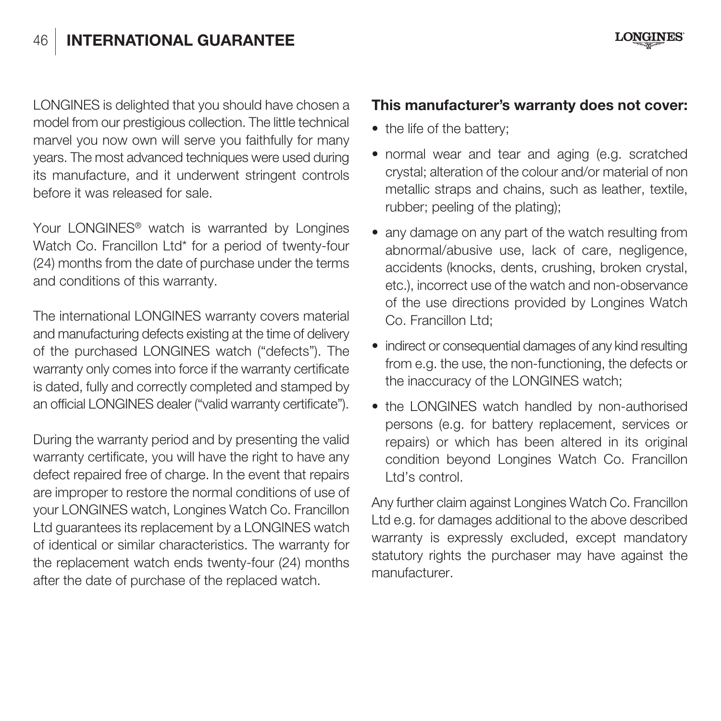# 46 **INTERNATIONAL GUARANTEE**

LONGINES is delighted that you should have chosen a model from our prestigious collection. The little technical marvel you now own will serve you faithfully for many years. The most advanced techniques were used during its manufacture, and it underwent stringent controls before it was released for sale.

Your LONGINES® watch is warranted by Longines Watch Co. Francillon Ltd\* for a period of twenty-four (24) months from the date of purchase under the terms and conditions of this warranty.

The international LONGINES warranty covers material and manufacturing defects existing at the time of delivery of the purchased LONGINES watch ("defects"). The warranty only comes into force if the warranty certificate is dated, fully and correctly completed and stamped by an official LONGINES dealer ("valid warranty certificate").

During the warranty period and by presenting the valid warranty certificate, you will have the right to have any defect repaired free of charge. In the event that repairs are improper to restore the normal conditions of use of your LONGINES watch, Longines Watch Co. Francillon Ltd guarantees its replacement by a LONGINES watch of identical or similar characteristics. The warranty for the replacement watch ends twenty-four (24) months after the date of purchase of the replaced watch.

#### **This manufacturer's warranty does not cover:**

- the life of the battery:
- normal wear and tear and aging (e.g. scratched crystal; alteration of the colour and/or material of non metallic straps and chains, such as leather, textile rubber; peeling of the plating);
- any damage on any part of the watch resulting from abnormal/abusive use, lack of care, negligence, accidents (knocks, dents, crushing, broken crystal, etc.), incorrect use of the watch and non-observance of the use directions provided by Longines Watch Co. Francillon Ltd:
- indirect or consequential damages of any kind resulting from e.g. the use, the non-functioning, the defects or the inaccuracy of the LONGINES watch;
- the LONGINES watch handled by non-authorised persons (e.g. for battery replacement, services or repairs) or which has been altered in its original condition beyond Longines Watch Co. Francillon Ltd's control.

Any further claim against Longines Watch Co. Francillon Ltd e.g. for damages additional to the above described warranty is expressly excluded, except mandatory statutory rights the purchaser may have against the manufacturer.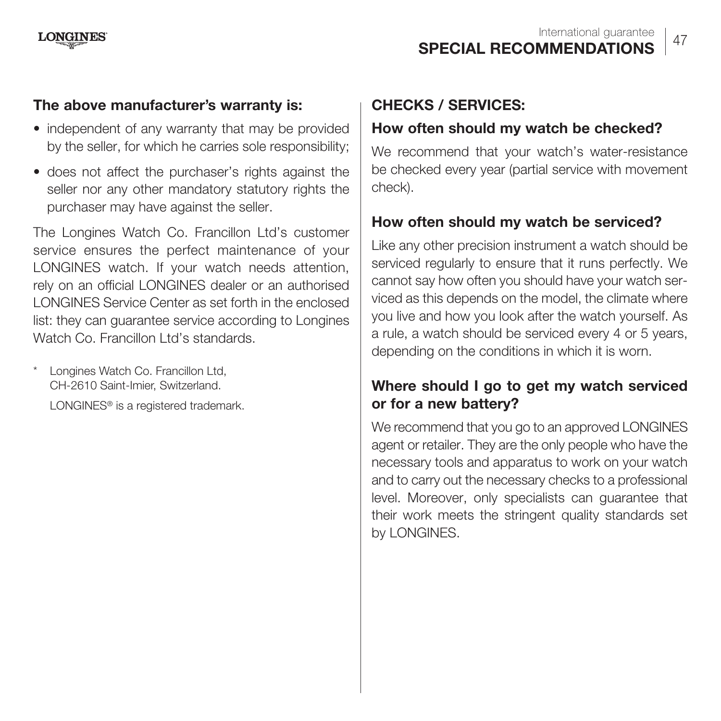#### **The above manufacturer's warranty is:**

- independent of any warranty that may be provided by the seller, for which he carries sole responsibility;
- does not affect the purchaser's rights against the seller nor any other mandatory statutory rights the purchaser may have against the seller.

The Longines Watch Co. Francillon Ltd's customer service ensures the perfect maintenance of your LONGINES watch. If your watch needs attention, rely on an official LONGINES dealer or an authorised LONGINES Service Center as set forth in the enclosed list: they can guarantee service according to Longines Watch Co. Francillon Ltd's standards.

\* Longines Watch Co. Francillon Ltd, CH-2610 Saint-Imier, Switzerland.

LONGINES<sup>®</sup> is a registered trademark.

#### **CHECKS / SERVICES:**

#### **How often should my watch be checked?**

We recommend that your watch's water-resistance be checked every year (partial service with movement check).

#### **How often should my watch be serviced?**

Like any other precision instrument a watch should be serviced regularly to ensure that it runs perfectly. We cannot say how often you should have your watch serviced as this depends on the model, the climate where you live and how you look after the watch yourself. As a rule, a watch should be serviced every 4 or 5 years, depending on the conditions in which it is worn.

#### **Where should I go to get my watch serviced or for a new battery?**

We recommend that you go to an approved LONGINES agent or retailer. They are the only people who have the necessary tools and apparatus to work on your watch and to carry out the necessary checks to a professional level. Moreover, only specialists can guarantee that their work meets the stringent quality standards set by LONGINES.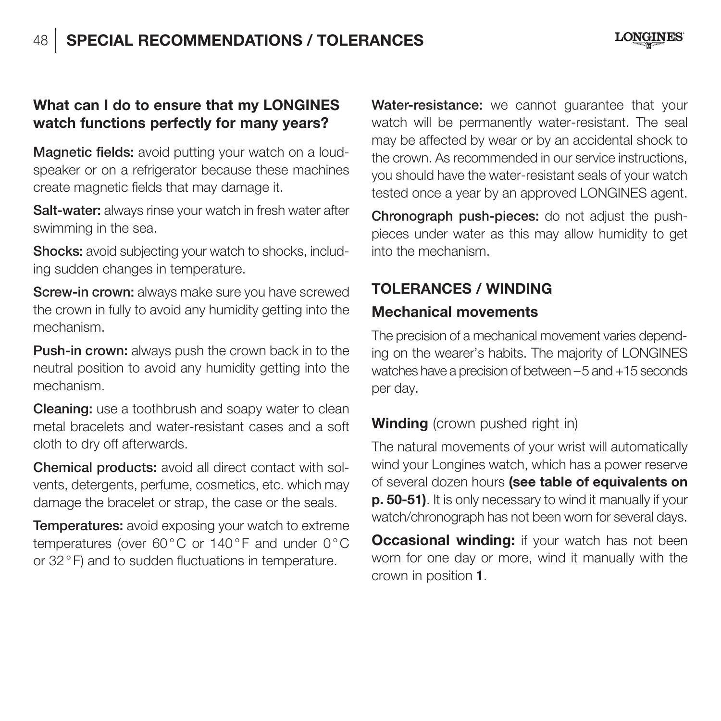#### **What can I do to ensure that my LONGINES watch functions perfectly for many years?**

**Magnetic fields:** avoid putting your watch on a loudspeaker or on a refrigerator because these machines create magnetic fields that may damage it.

**Salt-water:** always rinse your watch in fresh water after swimming in the sea.

**Shocks:** avoid subjecting your watch to shocks, including sudden changes in temperature.

**Screw-in crown:** always make sure you have screwed the crown in fully to avoid any humidity getting into the mechanism.

**Push-in crown:** always push the crown back in to the neutral position to avoid any humidity getting into the mechanism.

**Cleaning:** use a toothbrush and soapy water to clean metal bracelets and water-resistant cases and a soft cloth to dry off afterwards.

**Chemical products:** avoid all direct contact with solvents, detergents, perfume, cosmetics, etc. which may damage the bracelet or strap, the case or the seals.

**Temperatures:** avoid exposing your watch to extreme temperatures (over 60 °C or 140 °F and under 0 °C or 32 ° F) and to sudden fluctuations in temperature.

**Water-resistance:** we cannot guarantee that your watch will be permanently water-resistant. The seal may be affected by wear or by an accidental shock to the crown. As recommended in our service instructions, you should have the water-resistant seals of your watch tested once a year by an approved LONGINES agent.

**Chronograph push-pieces:** do not adjust the pushpieces under water as this may allow humidity to get into the mechanism.

# **TOLERANCES / WINDING**

#### **Mechanical movements**

The precision of a mechanical movement varies depending on the wearer's habits. The majority of LONGINES watches have a precision of between – 5 and +15 seconds per day.

#### **Winding** (crown pushed right in)

The natural movements of your wrist will automatically wind your Longines watch, which has a power reserve of several dozen hours **(see table of equivalents on p. 50-51)**. It is only necessary to wind it manually if your watch/chronograph has not been worn for several days.

**Occasional winding:** if your watch has not been worn for one day or more, wind it manually with the crown in position **1**.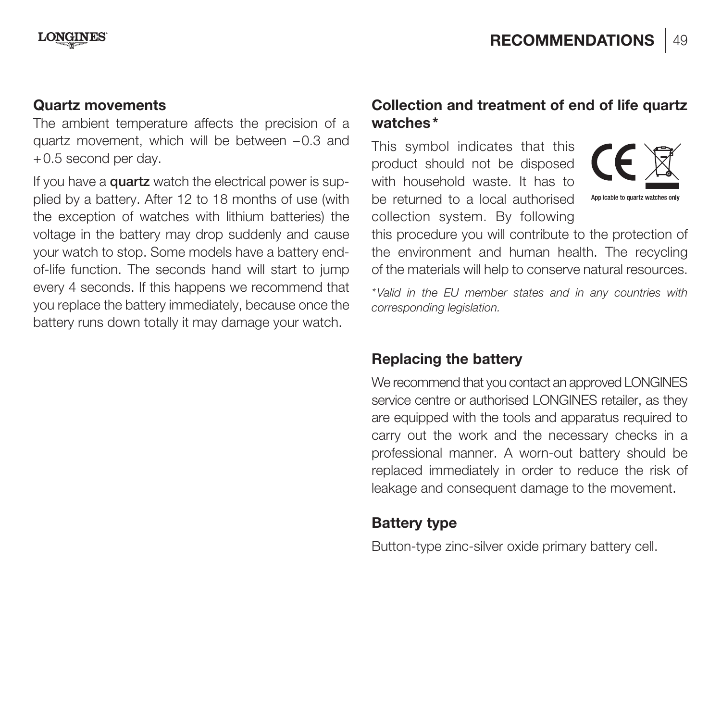#### **Quartz movements**

The ambient temperature affects the precision of a quartz movement, which will be between  $-0.3$  and + 0.5 second per day.

If you have a **quartz** watch the electrical power is supplied by a battery. After 12 to 18 months of use (with the exception of watches with lithium batteries) the voltage in the battery may drop suddenly and cause your watch to stop. Some models have a battery endof-life function. The seconds hand will start to jump every 4 seconds. If this happens we recommend that you replace the battery immediately, because once the battery runs down totally it may damage your watch.

#### **Collection and treatment of end of life quartz watches \***

This symbol indicates that this product should not be disposed with household waste. It has to be returned to a local authorised collection system. By following



this procedure you will contribute to the protection of the environment and human health. The recycling of the materials will help to conserve natural resources.

\* Valid in the EU member states and in any countries with corresponding legislation.

#### **Replacing the battery**

We recommend that you contact an approved LONGINES service centre or authorised LONGINES retailer, as they are equipped with the tools and apparatus required to carry out the work and the necessary checks in a professional manner. A worn-out battery should be replaced immediately in order to reduce the risk of leakage and consequent damage to the movement.

#### **Battery type**

Button-type zinc-silver oxide primary battery cell.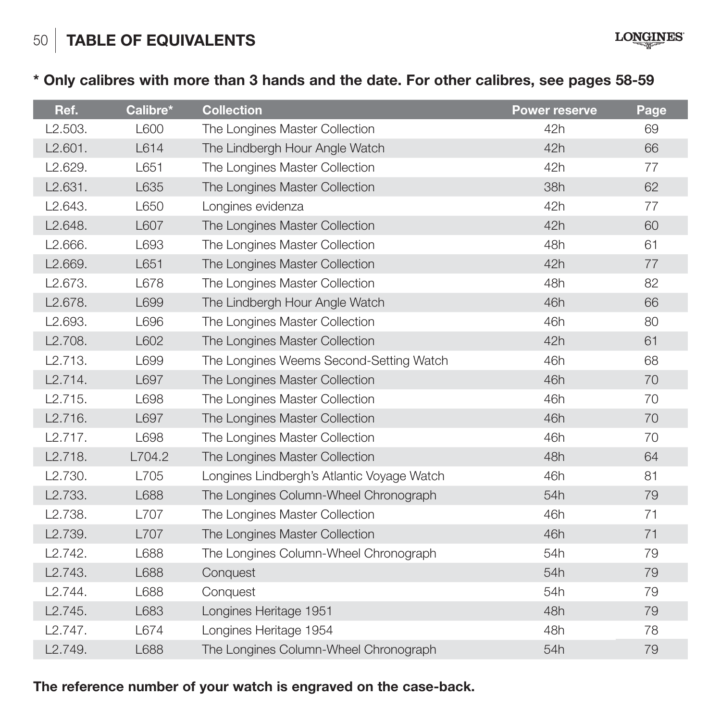50 **TABLE OF EQUIVALENTS**

**\* Only calibres with more than 3 hands and the date. For other calibres, see pages 58-59**

**LONGINES** 

| Ref.                 | Calibre*    | <b>Collection</b>                          | <b>Power reserve</b> | Page |
|----------------------|-------------|--------------------------------------------|----------------------|------|
| L2.503.              | L600        | The Longines Master Collection             | 42h                  | 69   |
| L2.601.              | L614        | The Lindbergh Hour Angle Watch             | 42h                  | 66   |
| L2.629.              | L651        | The Longines Master Collection             | 42h                  | 77   |
| L2.631.              | L635        | The Longines Master Collection             | 38h                  | 62   |
| L2.643.              | L650        | Longines evidenza                          | 42h                  | 77   |
| L2.648.              | <b>L607</b> | The Longines Master Collection             | 42h                  | 60   |
| L2.666.              | L693        | The Longines Master Collection             | 48h                  | 61   |
| L2.669.              | L651        | The Longines Master Collection             | 42h                  | 77   |
| L2.673.              | L678        | The Longines Master Collection             | 48h                  | 82   |
| L2.678.              | L699        | The Lindbergh Hour Angle Watch             | 46h                  | 66   |
| L2.693.              | L696        | The Longines Master Collection             | 46h                  | 80   |
| L2.708.              | L602        | The Longines Master Collection             | 42h                  | 61   |
| L2.713.              | L699        | The Longines Weems Second-Setting Watch    | 46h                  | 68   |
| L2.714.              | L697        | The Longines Master Collection             | 46h                  | 70   |
| L2.715.              | L698        | The Longines Master Collection             | 46h                  | 70   |
| L2.716.              | L697        | The Longines Master Collection             | 46h                  | 70   |
| L2.717.              | L698        | The Longines Master Collection             | 46h                  | 70   |
| L2.718.              | L704.2      | The Longines Master Collection             | 48h                  | 64   |
| L2.730.              | L705        | Longines Lindbergh's Atlantic Voyage Watch | 46h                  | 81   |
| L2.733.              | L688        | The Longines Column-Wheel Chronograph      | 54h                  | 79   |
| L <sub>2.738</sub> . | L707        | The Longines Master Collection             | 46h                  | 71   |
| L <sub>2.739</sub> . | L707        | The Longines Master Collection             | 46h                  | 71   |
| L2.742.              | L688        | The Longines Column-Wheel Chronograph      | 54h                  | 79   |
| L2.743.              | L688        | Conquest                                   | 54h                  | 79   |
| L2.744.              | L688        | Conquest                                   | 54h                  | 79   |
| L2.745.              | L683        | Longines Heritage 1951                     | 48h                  | 79   |
| L2.747.              | L674        | Longines Heritage 1954                     | 48h                  | 78   |
| L2.749.              | L688        | The Longines Column-Wheel Chronograph      | 54h                  | 79   |

**The reference number of your watch is engraved on the case-back.**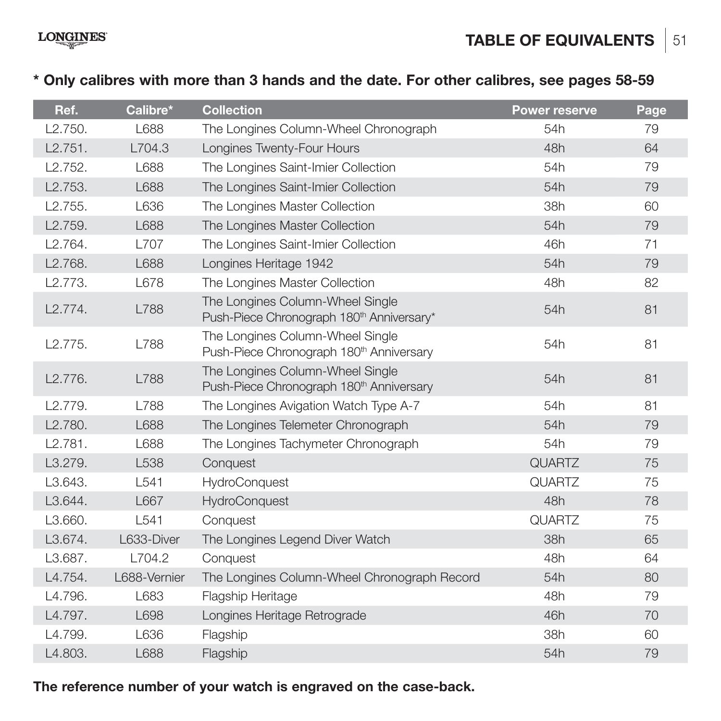**TABLE OF EQUIVALENTS** 51

## **\* Only calibres with more than 3 hands and the date. For other calibres, see pages 58-59**

| Ref.    | Calibre*     | <b>Collection</b>                                                                         | <b>Power reserve</b> | Page |
|---------|--------------|-------------------------------------------------------------------------------------------|----------------------|------|
| L2.750. | 1688         | The Longines Column-Wheel Chronograph                                                     | 54h                  | 79   |
| L2.751. | L704.3       | Longines Twenty-Four Hours                                                                | 48h                  | 64   |
| 12.752. | 1688         | The Longines Saint-Imier Collection                                                       | 54h                  | 79   |
| L2.753. | L688         | The Longines Saint-Imier Collection                                                       | 54h                  | 79   |
| 12.755. | 1636         | The Longines Master Collection                                                            | 38h                  | 60   |
| L2.759. | L688         | The Longines Master Collection                                                            | 54h                  | 79   |
| 12.764. | <b>1707</b>  | The Longines Saint-Imier Collection                                                       | 46h                  | 71   |
| L2.768. | L688         | Longines Heritage 1942                                                                    | 54h                  | 79   |
| L2.773. | L678         | The Longines Master Collection                                                            | 48h                  | 82   |
| L2.774. | <b>L788</b>  | The Longines Column-Wheel Single<br>Push-Piece Chronograph 180 <sup>th</sup> Anniversary* | 54h                  | 81   |
| 12.775. | L788         | The Longines Column-Wheel Single<br>Push-Piece Chronograph 180 <sup>th</sup> Anniversary  | 54h                  | 81   |
| L2.776. | L788         | The Longines Column-Wheel Single<br>Push-Piece Chronograph 180 <sup>th</sup> Anniversary  | 54h                  | 81   |
| 12.779. | 788          | The Longines Avigation Watch Type A-7                                                     | 54h                  | 81   |
| L2.780. | L688         | The Longines Telemeter Chronograph                                                        | 54h                  | 79   |
| L2.781. | L688         | The Longines Tachymeter Chronograph                                                       | 54h                  | 79   |
| L3.279. | L538         | Conquest                                                                                  | QUARTZ               | 75   |
| 13.643. | 1541         | HydroConquest                                                                             | QUARTZ               | 75   |
| L3.644. | L667         | HydroConquest                                                                             | 48h                  | 78   |
| L3.660. | 1541         | Conquest                                                                                  | QUARTZ               | 75   |
| L3.674. | L633-Diver   | The Longines Legend Diver Watch                                                           | 38h                  | 65   |
| 13.687. | 1704.2       | Conquest                                                                                  | 48h                  | 64   |
| L4.754. | L688-Vernier | The Longines Column-Wheel Chronograph Record                                              | 54h                  | 80   |
| L4.796. | 1683         | Flagship Heritage                                                                         | 48h                  | 79   |
| L4.797. | L698         | Longines Heritage Retrograde                                                              | 46h                  | 70   |
| 14.799. | 1636         | Flagship                                                                                  | 38h                  | 60   |
| L4.803. | L688         | Flagship                                                                                  | 54h                  | 79   |

**The reference number of your watch is engraved on the case-back.**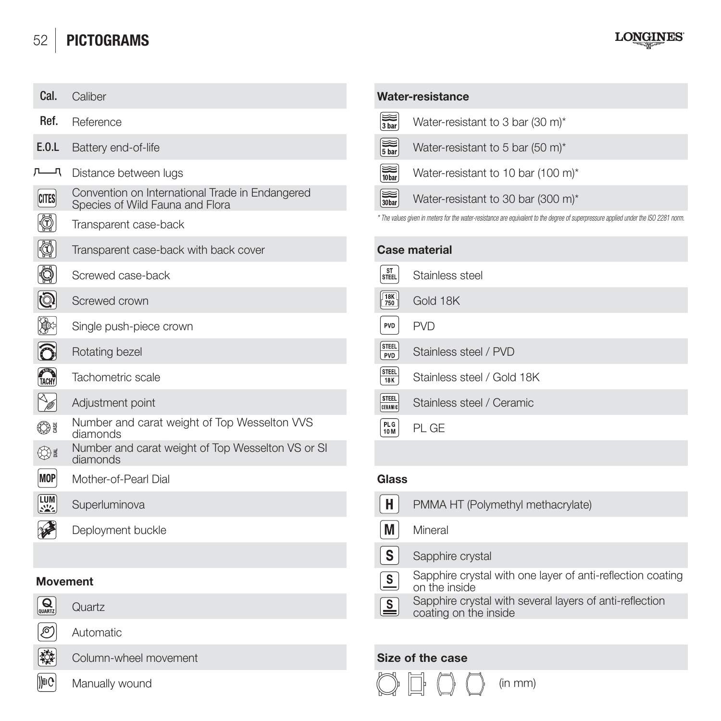# 52 **PICTOGRAMS**



| Cal.                                                     | Caliber                                                                            |                                         | Water-resistance                                                                                                                     |
|----------------------------------------------------------|------------------------------------------------------------------------------------|-----------------------------------------|--------------------------------------------------------------------------------------------------------------------------------------|
| Ref.                                                     | Reference                                                                          | $\sum_{3 \text{ bar}}$                  | Water-resistant to 3 bar (30 m)*                                                                                                     |
| E.0.L                                                    | Battery end-of-life                                                                | $\left[\frac{1}{5 \text{ bar}}\right]$  | Water-resistant to 5 bar (50 m)*                                                                                                     |
| 一                                                        | Distance between lugs                                                              | $\left[\frac{1}{10\text{bar}}\right]$   | Water-resistant to 10 bar (100 m)*                                                                                                   |
| <b>CITES</b>                                             | Convention on International Trade in Endangered<br>Species of Wild Fauna and Flora | $\left[\frac{1}{30\,\text{bar}}\right]$ | Water-resistant to 30 bar (300 m)*                                                                                                   |
| Ø)                                                       | Transparent case-back                                                              |                                         | * The values given in meters for the water-resistance are equivalent to the degree of superpressure applied under the ISO 2281 norm. |
| ◙                                                        | Transparent case-back with back cover                                              |                                         | Case material                                                                                                                        |
| Ø                                                        | Screwed case-back                                                                  | ST<br>STEEL                             | Stainless steel                                                                                                                      |
| (ම                                                       | Screwed crown                                                                      | $\frac{18K}{750}$                       | Gold 18K                                                                                                                             |
| €۶                                                       | Single push-piece crown                                                            | PVD                                     | <b>PVD</b>                                                                                                                           |
| Ô                                                        | Rotating bezel                                                                     | STEEL<br>PVD                            | Stainless steel / PVD                                                                                                                |
| TACHY                                                    | Tachometric scale                                                                  | STEEL<br><b>18K</b>                     | Stainless steel / Gold 18K                                                                                                           |
| V                                                        | Adjustment point                                                                   | <b>STEEL</b><br>CENANTE                 | Stainless steel / Ceramic                                                                                                            |
| ی ک                                                      | Number and carat weight of Top Wesselton VVS<br>diamonds                           | PL G<br>10M                             | PL GE                                                                                                                                |
| ⊕                                                        | Number and carat weight of Top Wesselton VS or SI<br>diamonds                      |                                         |                                                                                                                                      |
| <b>MOP</b>                                               | Mother-of-Pearl Dial                                                               | Glass                                   |                                                                                                                                      |
| $\begin{bmatrix} \text{LUM} \\ \text{SMZ} \end{bmatrix}$ | Superluminova                                                                      | н                                       | PMMA HT (Polymethyl methacrylate)                                                                                                    |
| ₩                                                        | Deployment buckle                                                                  | M                                       | Mineral                                                                                                                              |
|                                                          |                                                                                    | s                                       | Sapphire crystal                                                                                                                     |
| <b>Movement</b>                                          |                                                                                    | ≗                                       | Sapphire crystal with one layer of anti-reflection coating<br>on the inside                                                          |

# $Q_{\text{quark}}$



霺 **De**  Automatic

**Column-wheel movement Size of the case** 

Manually wound

# **Water-resistance**

| $\left[\frac{1}{3 \text{ bar}}\right]$ | Water-resistant to 3 bar (30 m)*   |
|----------------------------------------|------------------------------------|
| $\left[\frac{1}{5 \text{ bar}}\right]$ | Water-resistant to 5 bar (50 m)*   |
| $\frac{1}{10\text{bar}}$               | Water-resistant to 10 bar (100 m)* |
| $\sqrt{\frac{1}{30\pi}}$               | Water-resistant to 30 bar (300 m)* |
|                                        |                                    |

|                          | Case material              |
|--------------------------|----------------------------|
| ST<br>STEEL              | Stainless steel            |
| $\sqrt{\frac{18K}{750}}$ | Gold 18K                   |
| PVD                      | <b>PVD</b>                 |
| STEEL<br>PVD             | Stainless steel / PVD      |
| STEEL<br>18K             | Stainless steel / Gold 18K |
| STEEL<br>EELIJIB         | Stainless steel / Ceramic  |
| PLG<br>10 M              | PI GF                      |
|                          |                            |

| Superluminova     | н<br>PMMA HT (Polymethyl methacrylate)                                                 |
|-------------------|----------------------------------------------------------------------------------------|
| Deployment buckle | М<br>Mineral                                                                           |
|                   | . S<br>Sapphire crystal                                                                |
| าent              | Sapphire crystal with one layer of anti-reflection coat<br>s<br>on the inside          |
| Quartz            | Sapphire crystal with several layers of anti-reflection<br>l≦<br>coating on the inside |
|                   |                                                                                        |



(in mm)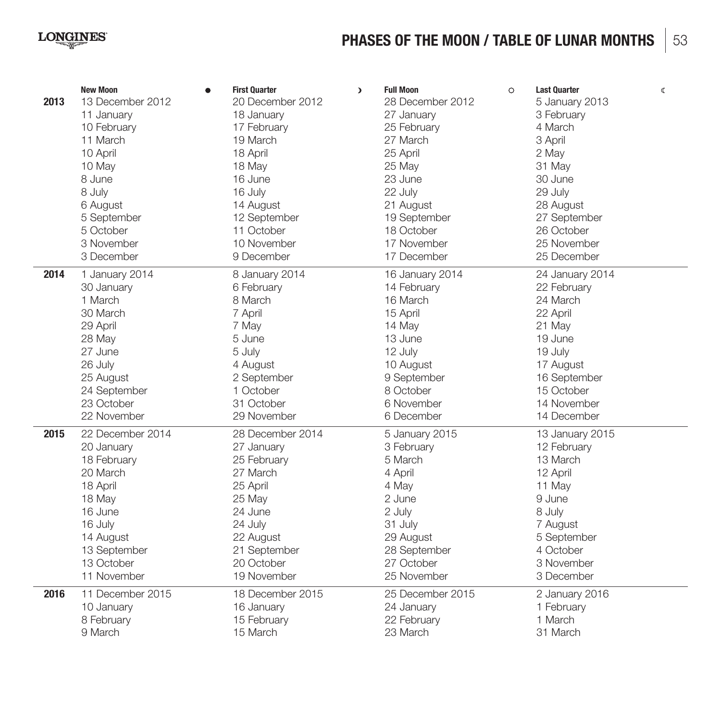## **LONGINES**

# **PHASES OF THE MOON / TABLE OF LUNAR MONTHS** 53

| 2013         | <b>New Moon</b>                                                                                                                                                                     | <b>First Quarter</b>                                                                                                                                                                | <b>Full Moon</b>                                                                                                                                                         | <b>Last Quarter</b>                                                                                                                                                        |
|--------------|-------------------------------------------------------------------------------------------------------------------------------------------------------------------------------------|-------------------------------------------------------------------------------------------------------------------------------------------------------------------------------------|--------------------------------------------------------------------------------------------------------------------------------------------------------------------------|----------------------------------------------------------------------------------------------------------------------------------------------------------------------------|
|              | ٠                                                                                                                                                                                   | $\lambda$                                                                                                                                                                           | $\Omega$                                                                                                                                                                 | $\langle$                                                                                                                                                                  |
|              | 13 December 2012                                                                                                                                                                    | 20 December 2012                                                                                                                                                                    | 28 December 2012                                                                                                                                                         | 5 January 2013                                                                                                                                                             |
|              | 11 January                                                                                                                                                                          | 18 January                                                                                                                                                                          | 27 January                                                                                                                                                               | 3 February                                                                                                                                                                 |
|              | 10 February                                                                                                                                                                         | 17 February                                                                                                                                                                         | 25 February                                                                                                                                                              | 4 March                                                                                                                                                                    |
|              | 11 March                                                                                                                                                                            | 19 March                                                                                                                                                                            | 27 March                                                                                                                                                                 | 3 April                                                                                                                                                                    |
|              | 10 April                                                                                                                                                                            | 18 April                                                                                                                                                                            | 25 April                                                                                                                                                                 | 2 May                                                                                                                                                                      |
|              | 10 May                                                                                                                                                                              | 18 May                                                                                                                                                                              | 25 May                                                                                                                                                                   | 31 May                                                                                                                                                                     |
|              | 8 June                                                                                                                                                                              | 16 June                                                                                                                                                                             | 23 June                                                                                                                                                                  | 30 June                                                                                                                                                                    |
|              | 8 July                                                                                                                                                                              | 16 July                                                                                                                                                                             | 22 July                                                                                                                                                                  | 29 July                                                                                                                                                                    |
|              | 6 August                                                                                                                                                                            | 14 August                                                                                                                                                                           | 21 August                                                                                                                                                                | 28 August                                                                                                                                                                  |
|              | 5 September                                                                                                                                                                         | 12 September                                                                                                                                                                        | 19 September                                                                                                                                                             | 27 September                                                                                                                                                               |
|              | 5 October                                                                                                                                                                           | 11 October                                                                                                                                                                          | 18 October                                                                                                                                                               | 26 October                                                                                                                                                                 |
|              | 3 November                                                                                                                                                                          | 10 November                                                                                                                                                                         | 17 November                                                                                                                                                              | 25 November                                                                                                                                                                |
|              | 3 December                                                                                                                                                                          | 9 December                                                                                                                                                                          | 17 December                                                                                                                                                              | 25 December                                                                                                                                                                |
| 2014         | 1 January 2014                                                                                                                                                                      | 8 January 2014                                                                                                                                                                      | 16 January 2014                                                                                                                                                          | 24 January 2014                                                                                                                                                            |
|              | 30 January                                                                                                                                                                          | 6 February                                                                                                                                                                          | 14 February                                                                                                                                                              | 22 February                                                                                                                                                                |
|              | 1 March                                                                                                                                                                             | 8 March                                                                                                                                                                             | 16 March                                                                                                                                                                 | 24 March                                                                                                                                                                   |
|              | 30 March                                                                                                                                                                            | 7 April                                                                                                                                                                             | 15 April                                                                                                                                                                 | 22 April                                                                                                                                                                   |
|              | 29 April                                                                                                                                                                            | 7 May                                                                                                                                                                               | 14 May                                                                                                                                                                   | 21 May                                                                                                                                                                     |
|              | 28 May                                                                                                                                                                              | 5 June                                                                                                                                                                              | 13 June                                                                                                                                                                  | 19 June                                                                                                                                                                    |
|              | 27 June                                                                                                                                                                             | 5 July                                                                                                                                                                              | 12 July                                                                                                                                                                  | 19 July                                                                                                                                                                    |
|              | 26 July                                                                                                                                                                             | 4 August                                                                                                                                                                            | 10 August                                                                                                                                                                | 17 August                                                                                                                                                                  |
|              | 25 August                                                                                                                                                                           | 2 September                                                                                                                                                                         | 9 September                                                                                                                                                              | 16 September                                                                                                                                                               |
|              | 24 September                                                                                                                                                                        | 1 October                                                                                                                                                                           | 8 October                                                                                                                                                                | 15 October                                                                                                                                                                 |
|              | 23 October                                                                                                                                                                          | 31 October                                                                                                                                                                          | 6 November                                                                                                                                                               | 14 November                                                                                                                                                                |
|              | 22 November                                                                                                                                                                         | 29 November                                                                                                                                                                         | 6 December                                                                                                                                                               | 14 December                                                                                                                                                                |
| 2015<br>2016 | 22 December 2014<br>20 January<br>18 February<br>20 March<br>18 April<br>18 May<br>16 June<br>16 July<br>14 August<br>13 September<br>13 October<br>11 November<br>11 December 2015 | 28 December 2014<br>27 January<br>25 Februarv<br>27 March<br>25 April<br>25 May<br>24 June<br>24 July<br>22 August<br>21 September<br>20 October<br>19 November<br>18 December 2015 | 5 January 2015<br>3 February<br>5 March<br>4 April<br>4 May<br>2 June<br>2 July<br>31 July<br>29 August<br>28 September<br>27 October<br>25 November<br>25 December 2015 | 13 January 2015<br>12 February<br>13 March<br>12 April<br>11 May<br>9 June<br>8 July<br>7 August<br>5 September<br>4 October<br>3 November<br>3 December<br>2 January 2016 |
|              | 10 January                                                                                                                                                                          | 16 January                                                                                                                                                                          | 24 January                                                                                                                                                               | 1 February                                                                                                                                                                 |
|              | 8 February                                                                                                                                                                          | 15 February                                                                                                                                                                         | 22 February                                                                                                                                                              | 1 March                                                                                                                                                                    |
|              | 9 March                                                                                                                                                                             | 15 March                                                                                                                                                                            | 23 March                                                                                                                                                                 | 31 March                                                                                                                                                                   |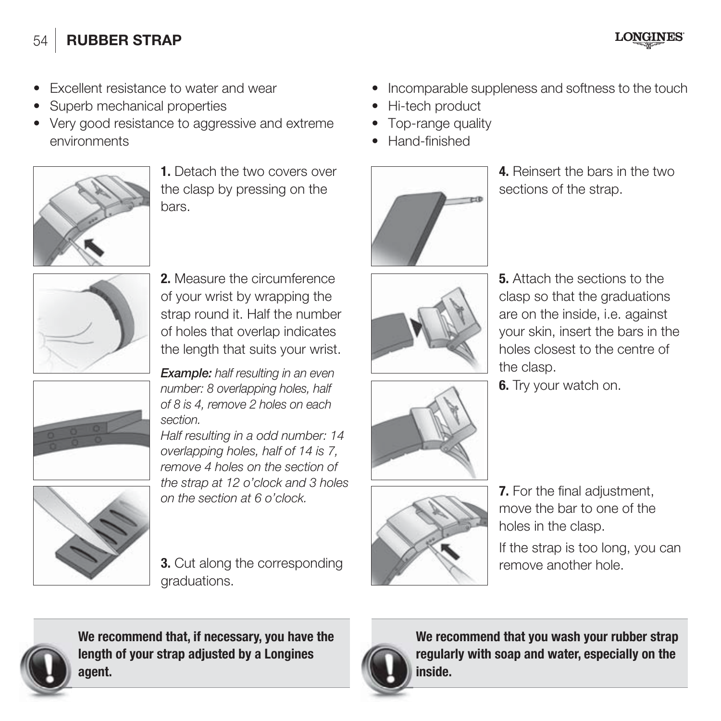# 54 **RUBBER STRAP**

**LONGINES** 

- Excellent resistance to water and wear
- Superb mechanical properties
- Very good resistance to aggressive and extreme environments



**1.** Detach the two covers over the clasp by pressing on the bars.



**2.** Measure the circumference of your wrist by wrapping the strap round it. Half the number of holes that overlap indicates the length that suits your wrist.

*Example:* half resulting in an even number: 8 overlapping holes, half of 8 is 4, remove 2 holes on each section.

Half resulting in a odd number: 14 overlapping holes, half of 14 is 7, remove 4 holes on the section of the strap at 12 o'clock and 3 holes on the section at 6 o'clock.



**3.** Cut along the corresponding **remove another hole.** graduations.

- $\bullet$  Incomparable suppleness and softness to the touch
- Hi-tech product
- Top-range quality
- Hand-finished



**4.** Reinsert the bars in the two sections of the strap.



**5.** Attach the sections to the clasp so that the graduations are on the inside, i.e. against your skin, insert the bars in the holes closest to the centre of the clasp.

**6.** Try your watch on.



**7.** For the final adjustment, move the bar to one of the holes in the clasp.

If the strap is too long, you can



**We recommend that, if necessary, you have the length of your strap adjusted by a Longines agent.**



**We recommend that you wash your rubber strap regularly with soap and water, especially on the inside.**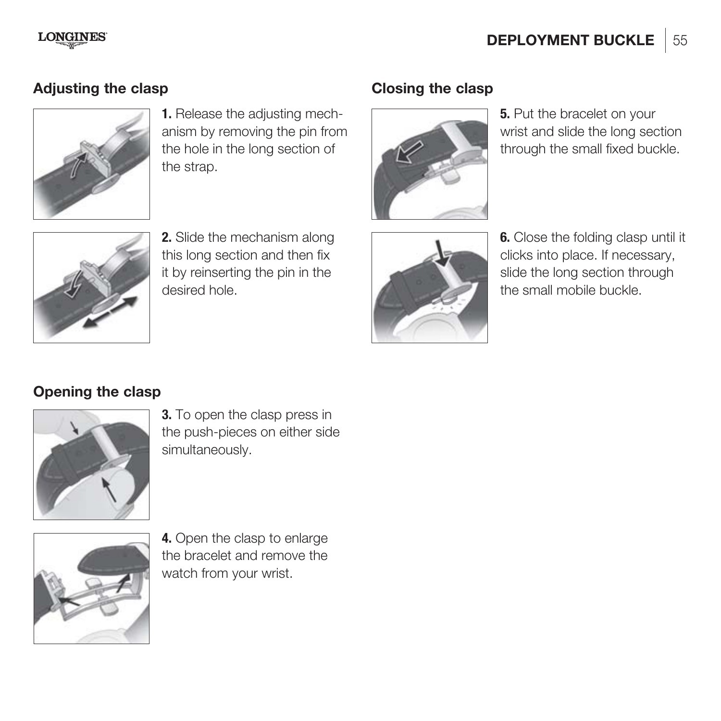#### **LONGINES**

# Adjusting the clasp **Closing the clasp**



**1.** Release the adjusting mechanism by removing the pin from the hole in the long section of the strap.



**2.** Slide the mechanism along this long section and then fix it by reinserting the pin in the desired hole.



**5.** Put the bracelet on your wrist and slide the long section through the small fixed buckle.



**6.** Close the folding clasp until it clicks into place. If necessary, slide the long section through the small mobile buckle.

# **Opening the clasp**



**3.** To open the clasp press in the push-pieces on either side simultaneously.



**4.** Open the clasp to enlarge the bracelet and remove the watch from your wrist.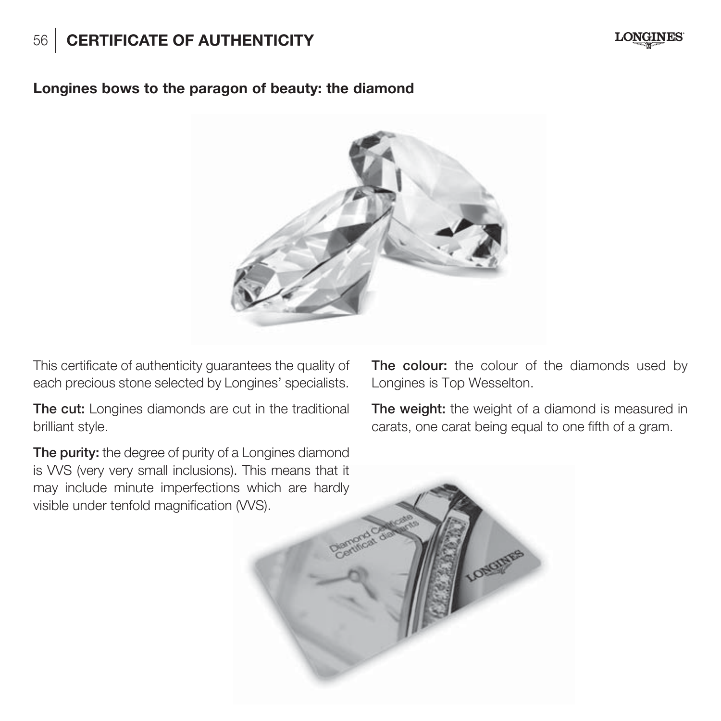# 56 **CERTIFICATE OF AUTHENTICITY**



#### **Longines bows to the paragon of beauty: the diamond**



This certificate of authenticity guarantees the quality of each precious stone selected by Longines' specialists.

**The cut:** Longines diamonds are cut in the traditional brilliant style.

**The purity:** the degree of purity of a Longines diamond is VVS (very very small inclusions). This means that it may include minute imperfections which are hardly visible under tenfold magnification (VVS).

**The colour:** the colour of the diamonds used by Longines is Top Wesselton.

**The weight:** the weight of a diamond is measured in carats, one carat being equal to one fifth of a gram.

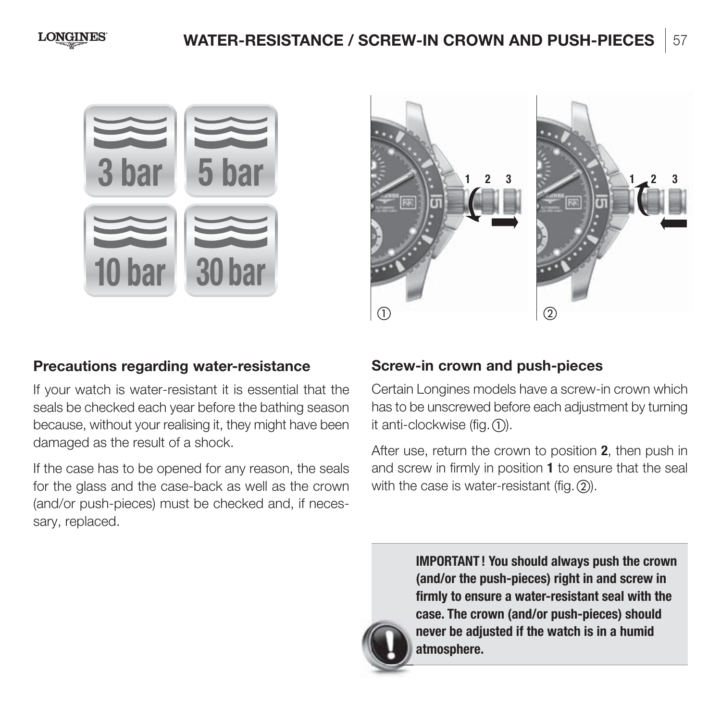**LONGINES** 

# **WATER-RESISTANCE / SCREW-IN CROWN AND PUSH-PIECES** 57





#### **Precautions regarding water-resistance**

If your watch is water-resistant it is essential that the seals be checked each year before the bathing season because, without your realising it, they might have been damaged as the result of a shock.

If the case has to be opened for any reason, the seals for the glass and the case-back as well as the crown (and/or push-pieces) must be checked and, if necessary, replaced.

#### **Screw-in crown and push-pieces**

Certain Longines models have a screw-in crown which has to be unscrewed before each adjustment by turning it anti-clockwise (fig.  $(1)$ ).

After use, return the crown to position **2**, then push in and screw in firmly in position **1** to ensure that the seal with the case is water-resistant (fig.  $(2)$ ).



**IMPORTANT ! You should always push the crown (and/or the push-pieces) right in and screw in firmly to ensure a water-resistant seal with the case. The crown (and/or push-pieces) should never be adjusted if the watch is in a humid atmosphere.**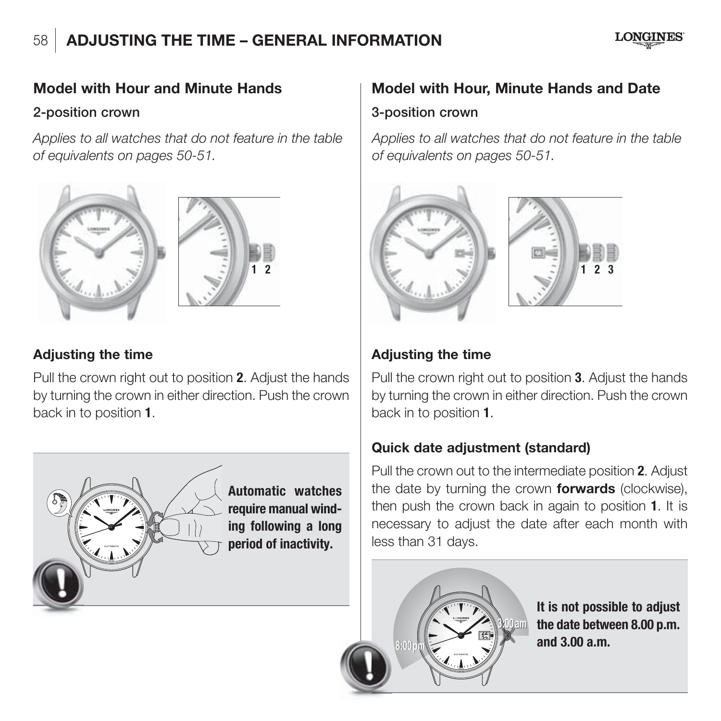# 58 **ADJUSTING THE TIME – GENERAL INFORMATION**



#### **Model with Hour and Minute Hands**

#### **2-position crown**

Applies to all watches that do not feature in the table of equivalents on pages 50-51.





#### **Adjusting the time**

Pull the crown right out to position **2**. Adjust the hands by turning the crown in either direction. Push the crown back in to position **1**.



**Automatic watches require manual winding following a long period of inactivity.**

# **Model with Hour, Minute Hands and Date 3-position crown**

Applies to all watches that do not feature in the table of equivalents on pages 50-51.



#### **Adjusting the time**

Pull the crown right out to position **3**. Adjust the hands by turning the crown in either direction. Push the crown back in to position **1**.

#### **Quick date adjustment (standard)**

Pull the crown out to the intermediate position **2**. Adjust the date by turning the crown **forwards** (clockwise), then push the crown back in again to position **1**. It is necessary to adjust the date after each month with less than 31 days.



**It is not possible to adjust the date between 8.00 p.m. and 3.00 a.m. <sup>23</sup>**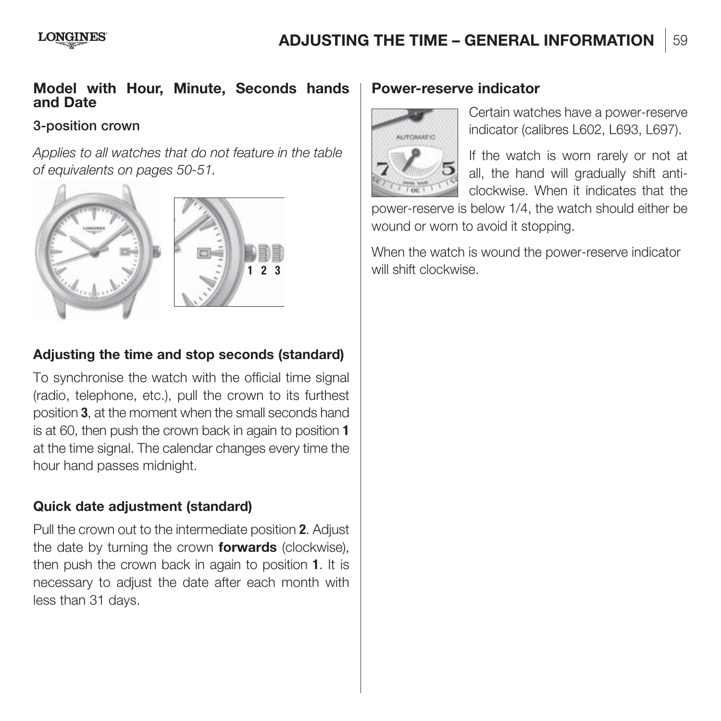#### **LONGINES**

# **ADJUSTING THE TIME - GENERAL INFORMATION** 59

#### **Model with Hour, Minute, Seconds hands and Date**

#### **3-position crown**

Applies to all watches that do not feature in the table of equivalents on pages 50-51.



#### **Adjusting the time and stop seconds (standard)**

To synchronise the watch with the official time signal (radio, telephone, etc.), pull the crown to its furthest position **3**, at the moment when the small seconds hand is at 60, then push the crown back in again to position **1** at the time signal. The calendar changes every time the hour hand passes midnight.

#### **Quick date adjustment (standard)**

Pull the crown out to the intermediate position **2**. Adjust the date by turning the crown **forwards** (clockwise), then push the crown back in again to position **1**. It is necessary to adjust the date after each month with less than 31 days.

#### **Power-reserve indicator**



Certain watches have a power-reserve indicator (calibres L602, L693, L697).

If the watch is worn rarely or not at all, the hand will gradually shift anticlockwise. When it indicates that the

power-reserve is below 1/4, the watch should either be wound or worn to avoid it stopping.

When the watch is wound the power-reserve indicator will shift clockwise.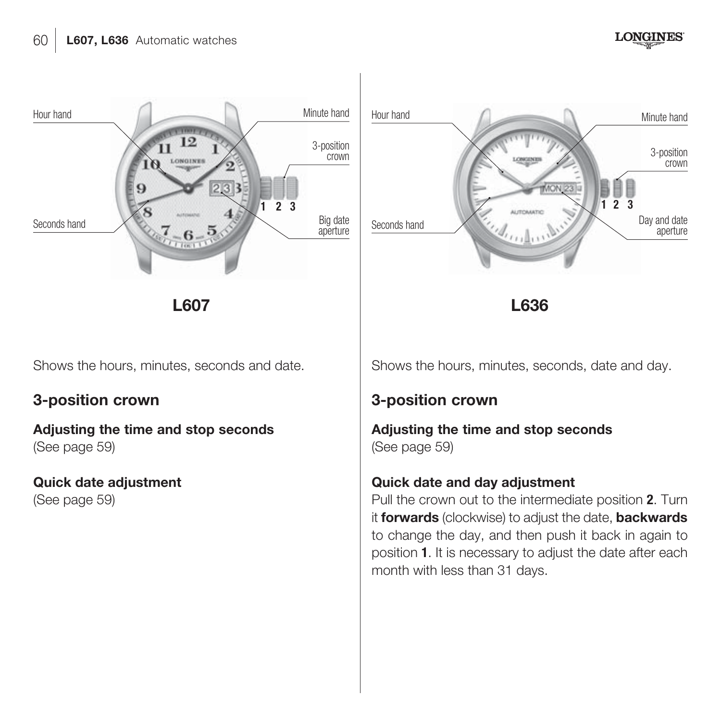

**L607 L636**

Shows the hours, minutes, seconds and date.

# **3-position crown**

**Adjusting the time and stop seconds** (See page 59)

**Quick date adjustment** (See page 59)

Shows the hours, minutes, seconds, date and day.

# **3-position crown**

**Adjusting the time and stop seconds** (See page 59)

#### **Quick date and day adjustment**

Pull the crown out to the intermediate position **2**. Turn it **forwards** (clockwise) to adjust the date, **backwards**  to change the day, and then push it back in again to position **1**. It is necessary to adjust the date after each month with less than 31 days.



**LONGINES**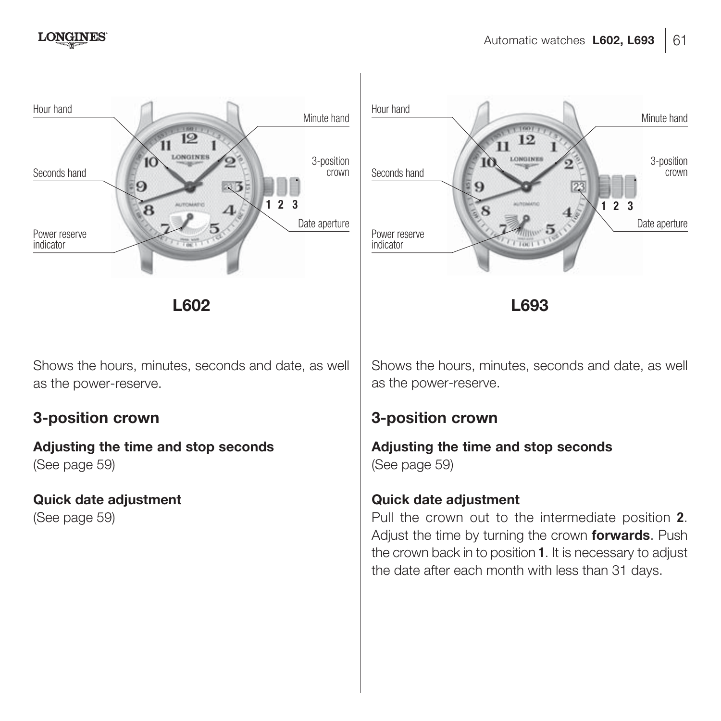indicator



**L602 L693**

 $\Lambda$ 

Shows the hours, minutes, seconds and date, as well as the power-reserve.

# **3-position crown**

**Adjusting the time and stop seconds** (See page 59)

 $\overline{\mathbf{B}}$ 

**Quick date adjustment** (See page 59)

Shows the hours, minutes, seconds and date, as well as the power-reserve.

# **3-position crown**

**Adjusting the time and stop seconds** (See page 59)

#### **Quick date adjustment**

Pull the crown out to the intermediate position **2**. Adjust the time by turning the crown **forwards**. Push the crown back in to position **1**. It is necessary to adjust the date after each month with less than 31 days.

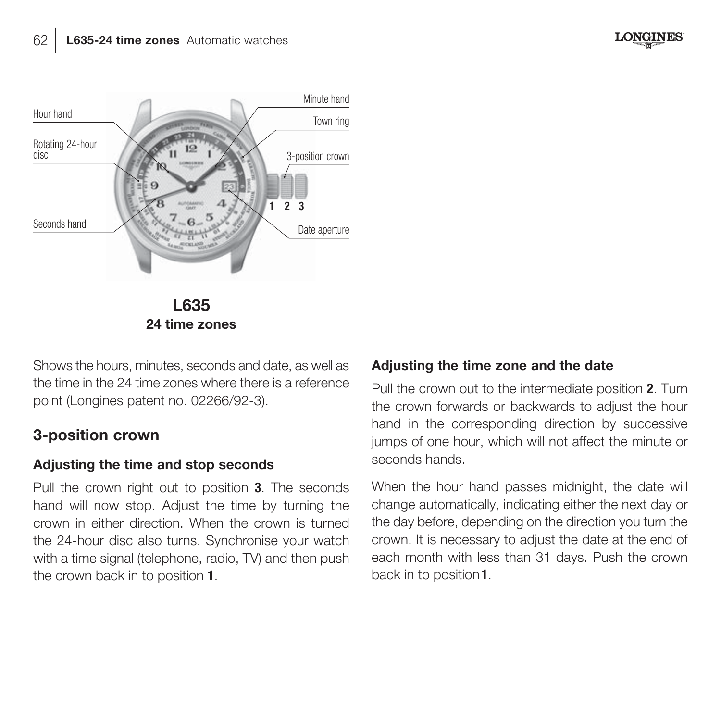**L635 24 time zones** Hour hand Rotating 24-hour diec Minute hand 3-position crown Town ring Seconds hand Seconds hand Date aperture **123**

Shows the hours, minutes, seconds and date, as well as the time in the 24 time zones where there is a reference point (Longines patent no. 02266/92-3).

# **3-position crown**

#### **Adjusting the time and stop seconds**

Pull the crown right out to position **3**. The seconds hand will now stop. Adjust the time by turning the crown in either direction. When the crown is turned the 24-hour disc also turns. Synchronise your watch with a time signal (telephone, radio, TV) and then push the crown back in to position **1**.

#### **Adjusting the time zone and the date**

Pull the crown out to the intermediate position **2**. Turn the crown forwards or backwards to adjust the hour hand in the corresponding direction by successive jumps of one hour, which will not affect the minute or seconds hands.

When the hour hand passes midnight, the date will change automatically, indicating either the next day or the day before, depending on the direction you turn the crown. It is necessary to adjust the date at the end of each month with less than 31 days. Push the crown back in to position **1**.

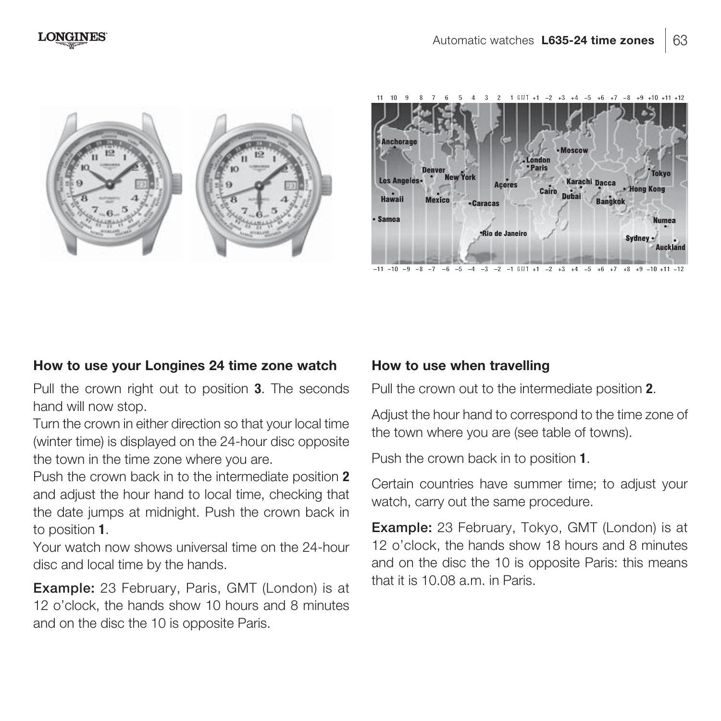



#### **How to use your Longines 24 time zone watch**

Pull the crown right out to position **3**. The seconds hand will now stop.

Turn the crown in either direction so that your local time (winter time) is displayed on the 24-hour disc opposite the town in the time zone where you are.

Push the crown back in to the intermediate position **2** and adjust the hour hand to local time, checking that the date jumps at midnight. Push the crown back in to position **1**.

Your watch now shows universal time on the 24-hour disc and local time by the hands.

**Example:** 23 February, Paris, GMT (London) is at 12 o'clock, the hands show 10 hours and 8 minutes and on the disc the 10 is opposite Paris.

#### **How to use when travelling**

Pull the crown out to the intermediate position **2**.

Adjust the hour hand to correspond to the time zone of the town where you are (see table of towns).

Push the crown back in to position **1**.

Certain countries have summer time; to adjust your watch, carry out the same procedure.

**Example:** 23 February, Tokyo, GMT (London) is at 12 o'clock, the hands show 18 hours and 8 minutes and on the disc the 10 is opposite Paris: this means that it is 10.08 a.m. in Paris.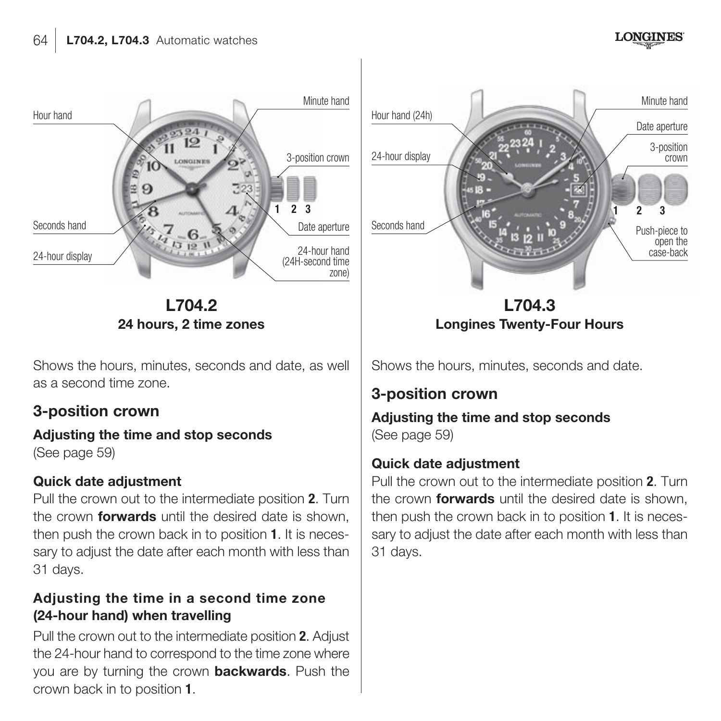

**L704.2 24 hours, 2 time zones**

Shows the hours, minutes, seconds and date, as well as a second time zone.

# **3-position crown**

# **Adjusting the time and stop seconds**

(See page 59)

#### **Quick date adjustment**

Pull the crown out to the intermediate position **2**. Turn the crown **forwards** until the desired date is shown, then push the crown back in to position **1**. It is necessary to adjust the date after each month with less than 31 days.

#### **Adjusting the time in a second time zone (24-hour hand) when travelling**

Pull the crown out to the intermediate position **2**. Adjust the 24-hour hand to correspond to the time zone where you are by turning the crown **backwards**. Push the crown back in to position **1**.



**L704.3 Longines Twenty-Four Hours**

Shows the hours, minutes, seconds and date.

# **3-position crown**

**Adjusting the time and stop seconds** (See page 59)

#### **Quick date adjustment**

Pull the crown out to the intermediate position **2**. Turn the crown **forwards** until the desired date is shown, then push the crown back in to position **1**. It is necessary to adjust the date after each month with less than 31 days.

**LONGINES**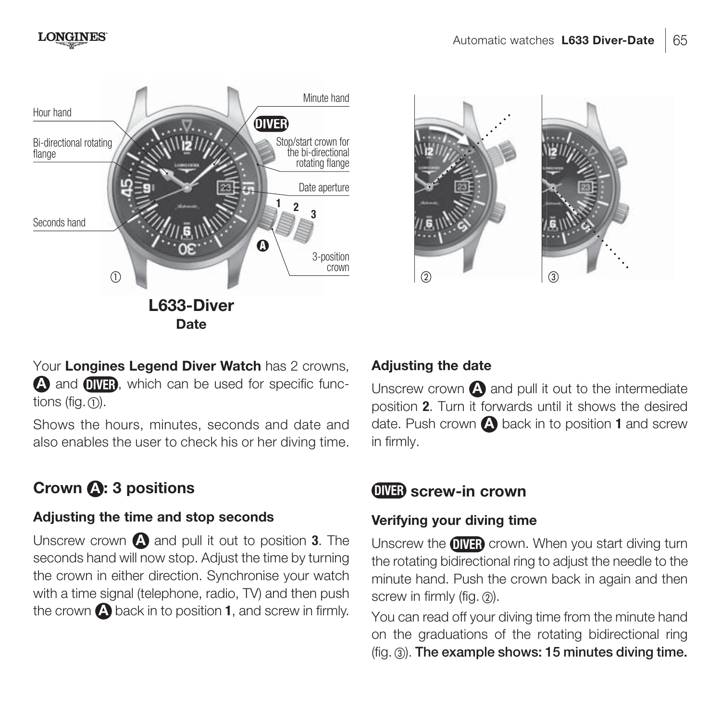



Your **Longines Legend Diver Watch** has 2 crowns, **A** and **OWER**, which can be used for specific functions (fig.  $\overline{D}$ ).

Shows the hours, minutes, seconds and date and also enables the user to check his or her diving time.

# **Crown A : 3 positions**

#### **Adjusting the time and stop seconds**

Unscrew crown **A** and pull it out to position **3**. The seconds hand will now stop. Adjust the time by turning the crown in either direction. Synchronise your watch with a time signal (telephone, radio, TV) and then push the crown **A** back in to position **1**, and screw in firmly.

#### **Adjusting the date**

Unscrew crown **A** and pull it out to the intermediate position **2**. Turn it forwards until it shows the desired date. Push crown **A** back in to position **1** and screw in firmly.

# **DIVER screw-in crown**

#### **Verifying your diving time**

Unscrew the **DIVER** crown. When you start diving turn the rotating bidirectional ring to adjust the needle to the minute hand. Push the crown back in again and then screw in firmly (fig.  $\circled{2}$ ).

You can read off your diving time from the minute hand on the graduations of the rotating bidirectional ring (fig. ). **The example shows: 15 minutes diving time.**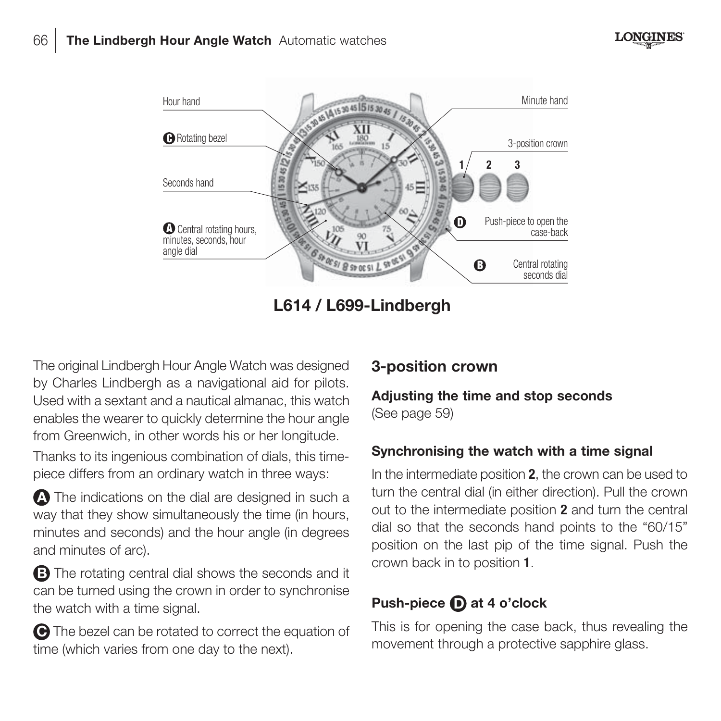



**L614 / L699-Lindbergh**

The original Lindbergh Hour Angle Watch was designed by Charles Lindbergh as a navigational aid for pilots. Used with a sextant and a nautical almanac, this watch enables the wearer to quickly determine the hour angle from Greenwich, in other words his or her longitude.

Thanks to its ingenious combination of dials, this timepiece differs from an ordinary watch in three ways:

**A** The indications on the dial are designed in such a way that they show simultaneously the time (in hours, minutes and seconds) and the hour angle (in degrees and minutes of arc).

**B** The rotating central dial shows the seconds and it can be turned using the crown in order to synchronise the watch with a time signal.

**C** The bezel can be rotated to correct the equation of time (which varies from one day to the next).

# **3-position crown**

#### **Adjusting the time and stop seconds** (See page 59)

#### **Synchronising the watch with a time signal**

In the intermediate position **2**, the crown can be used to turn the central dial (in either direction). Pull the crown out to the intermediate position **2** and turn the central dial so that the seconds hand points to the "60/15" position on the last pip of the time signal. Push the crown back in to position **1**.

# **Push-piece D at 4 o'clock**

This is for opening the case back, thus revealing the movement through a protective sapphire glass.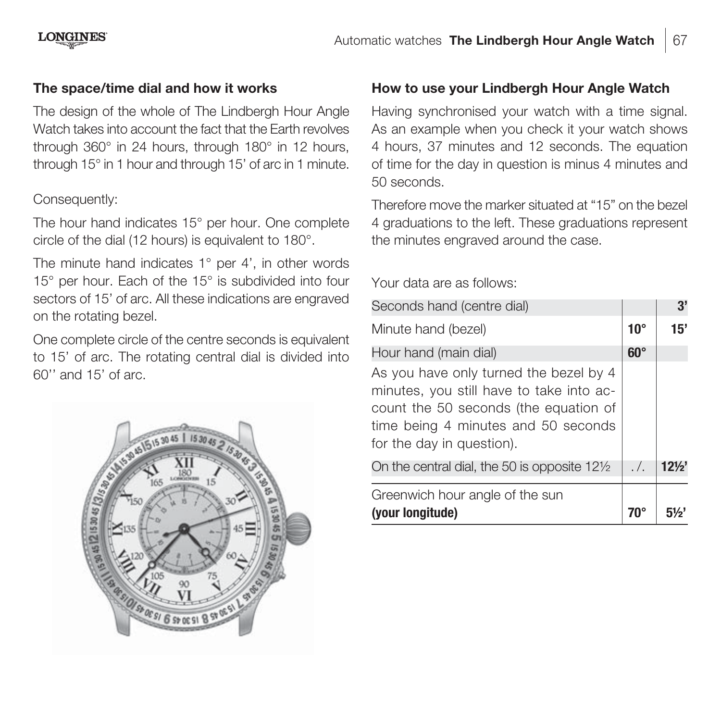#### **LONGINES**

#### **The space/time dial and how it works**

The design of the whole of The Lindbergh Hour Angle Watch takes into account the fact that the Earth revolves through 360° in 24 hours, through 180° in 12 hours, through 15° in 1 hour and through 15' of arc in 1 minute.

#### Consequently:

The hour hand indicates 15° per hour. One complete circle of the dial (12 hours) is equivalent to 180°.

The minute hand indicates 1° per 4', in other words 15° per hour. Each of the 15° is subdivided into four sectors of 15' of arc. All these indications are engraved on the rotating bezel.

One complete circle of the centre seconds is equivalent to 15' of arc. The rotating central dial is divided into 60'' and 15' of arc.



#### **How to use your Lindbergh Hour Angle Watch**

Having synchronised your watch with a time signal. As an example when you check it your watch shows 4 hours, 37 minutes and 12 seconds. The equation of time for the day in question is minus 4 minutes and 50 seconds.

Therefore move the marker situated at "15" on the bezel 4 graduations to the left. These graduations represent the minutes engraved around the case.

Your data are as follows:

| Seconds hand (centre dial)                                                                                                                                                                      |              | 3'              |
|-------------------------------------------------------------------------------------------------------------------------------------------------------------------------------------------------|--------------|-----------------|
| Minute hand (bezel)                                                                                                                                                                             | $10^{\circ}$ | 15'             |
| Hour hand (main dial)                                                                                                                                                                           | $60^\circ$   |                 |
| As you have only turned the bezel by 4<br>minutes, you still have to take into ac-<br>count the 50 seconds (the equation of<br>time being 4 minutes and 50 seconds<br>for the day in question). |              |                 |
| On the central dial, the 50 is opposite 121/2                                                                                                                                                   | . /.         | $12\frac{1}{2}$ |
| Greenwich hour angle of the sun<br>(your longitude)                                                                                                                                             |              |                 |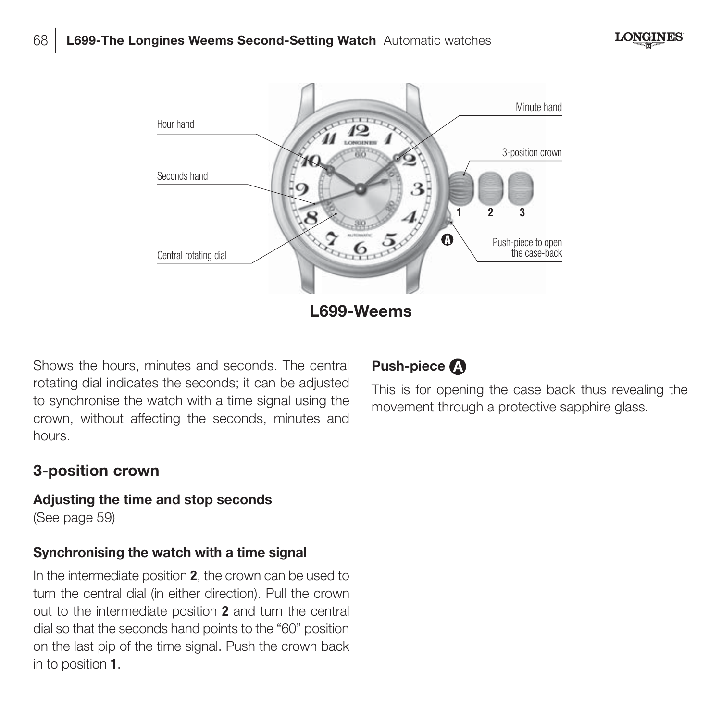



Shows the hours, minutes and seconds. The central rotating dial indicates the seconds; it can be adjusted to synchronise the watch with a time signal using the crown, without affecting the seconds, minutes and hours.

## **3-position crown**

#### **Adjusting the time and stop seconds** (See page 59)

#### **Synchronising the watch with a time signal**

In the intermediate position **2**, the crown can be used to turn the central dial (in either direction). Pull the crown out to the intermediate position **2** and turn the central dial so that the seconds hand points to the "60" position on the last pip of the time signal. Push the crown back in to position **1**.



This is for opening the case back thus revealing the movement through a protective sapphire glass.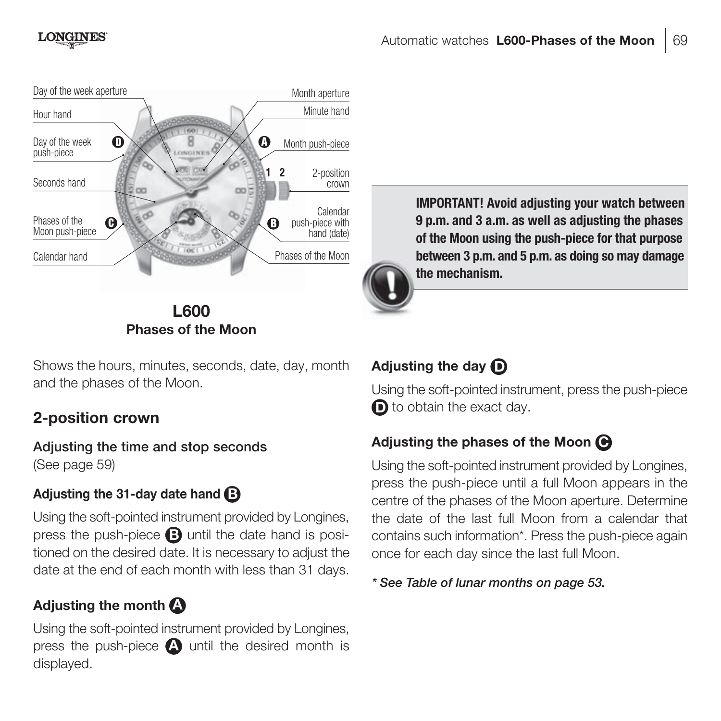

Shows the hours, minutes, seconds, date, day, month and the phases of the Moon.

# **2-position crown**

**Adjusting the time and stop seconds** (See page 59)

# **Adjusting the 31-day date hand B**

Using the soft-pointed instrument provided by Longines, press the push-piece **B** until the date hand is positioned on the desired date. It is necessary to adjust the date at the end of each month with less than 31 days.

# **Adjusting the month A**

Using the soft-pointed instrument provided by Longines, press the push-piece **A** until the desired month is displayed.

**IMPORTANT! Avoid adjusting your watch between 9 p.m. and 3 a.m. as well as adjusting the phases of the Moon using the push-piece for that purpose between 3 p.m. and 5 p.m. as doing so may damage the mechanism.**

# **Adjusting the day D**

Using the soft-pointed instrument, press the push-piece **D** to obtain the exact day.

# **Adjusting the phases of the Moon C**

Using the soft-pointed instrument provided by Longines, press the push-piece until a full Moon appears in the centre of the phases of the Moon aperture. Determine the date of the last full Moon from a calendar that contains such information\*. Press the push-piece again once for each day since the last full Moon.

*\* See Table of lunar months on page 53.*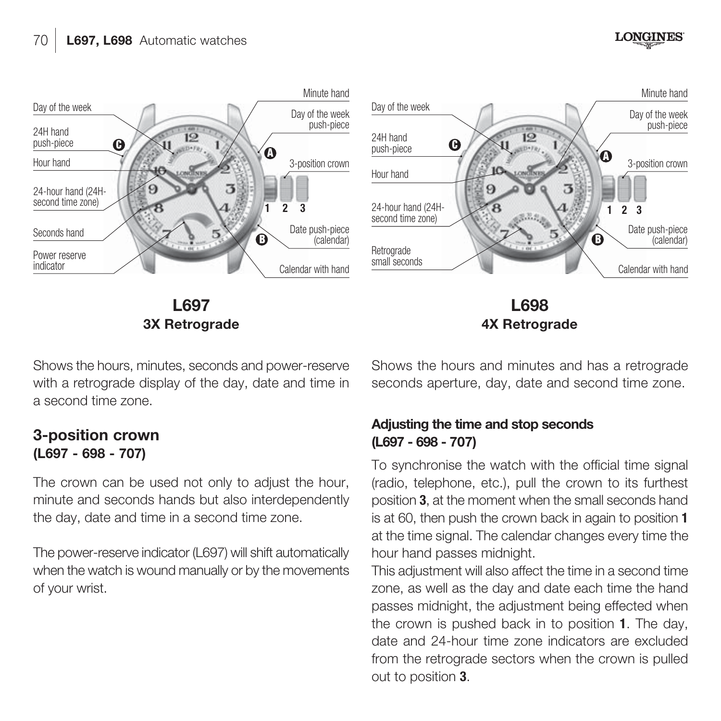

Shows the hours, minutes, seconds and power-reserve with a retrograde display of the day, date and time in a second time zone.

**3-position crown (L697 - 698 - 707)**

The crown can be used not only to adjust the hour, minute and seconds hands but also interdependently the day, date and time in a second time zone.

The power-reserve indicator (L697) will shift automatically when the watch is wound manually or by the movements of your wrist.

Shows the hours and minutes and has a retrograde seconds aperture, day, date and second time zone.

**LONGINES** 

#### **Adjusting the time and stop seconds (L697 - 698 - 707)**

To synchronise the watch with the official time signal (radio, telephone, etc.), pull the crown to its furthest position **3**, at the moment when the small seconds hand is at 60, then push the crown back in again to position **1** at the time signal. The calendar changes every time the hour hand passes midnight.

This adjustment will also affect the time in a second time zone, as well as the day and date each time the hand passes midnight, the adjustment being effected when the crown is pushed back in to position **1**. The day, date and 24-hour time zone indicators are excluded from the retrograde sectors when the crown is pulled out to position **3**.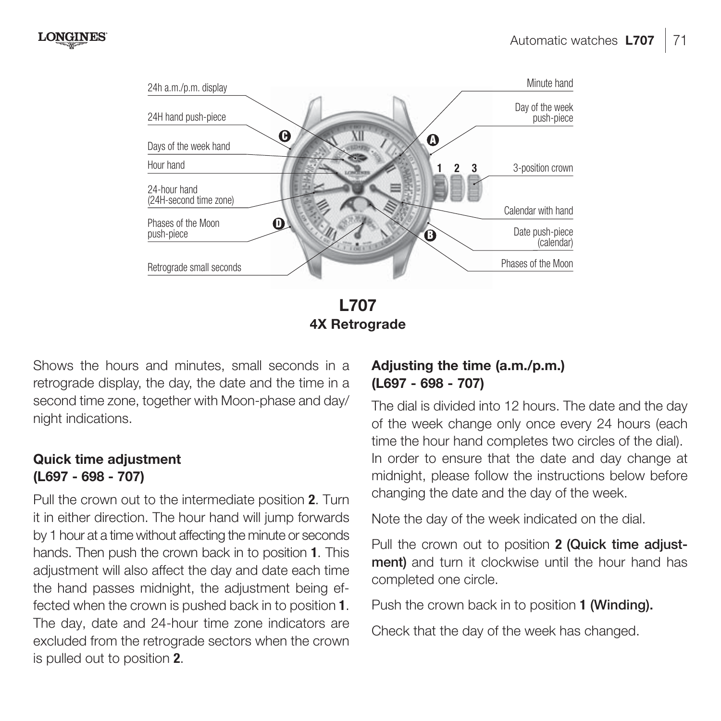

**L707 4X Retrograde**

Shows the hours and minutes, small seconds in a retrograde display, the day, the date and the time in a second time zone, together with Moon-phase and day/ night indications.

#### **Quick time adjustment (L697 - 698 - 707)**

Pull the crown out to the intermediate position **2**. Turn it in either direction. The hour hand will jump forwards by 1 hour at a time without affecting the minute or seconds hands. Then push the crown back in to position **1**. This adjustment will also affect the day and date each time the hand passes midnight, the adjustment being effected when the crown is pushed back in to position **1**. The day, date and 24-hour time zone indicators are excluded from the retrograde sectors when the crown is pulled out to position **2**.

#### **Adjusting the time (a.m./p.m.) (L697 - 698 - 707)**

The dial is divided into 12 hours. The date and the day of the week change only once every 24 hours (each time the hour hand completes two circles of the dial). In order to ensure that the date and day change at midnight, please follow the instructions below before changing the date and the day of the week.

Note the day of the week indicated on the dial.

Pull the crown out to position **2 (Quick time adjustment)** and turn it clockwise until the hour hand has completed one circle.

Push the crown back in to position **1 (Winding).**

Check that the day of the week has changed.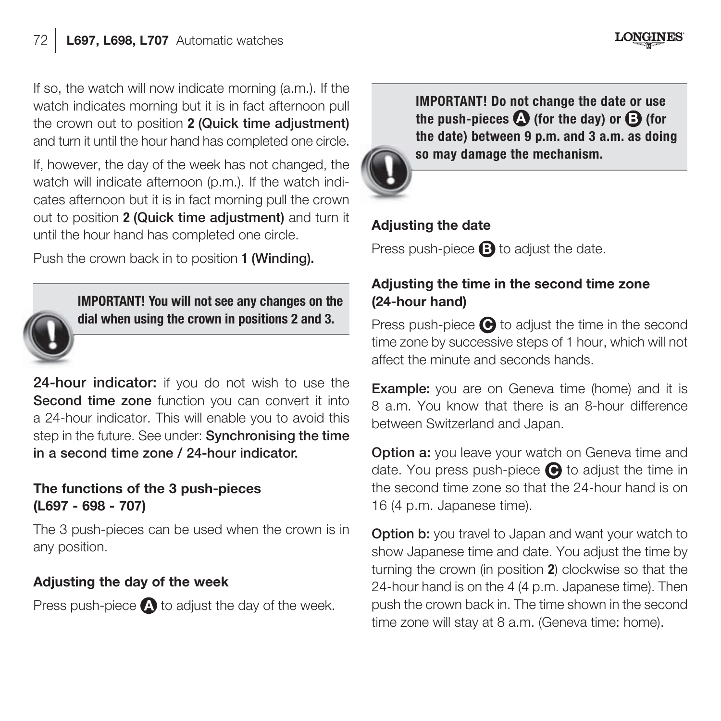If so, the watch will now indicate morning  $(a, m)$ . If the watch indicates morning but it is in fact afternoon pull the crown out to position **2 (Quick time adjustment)**  and turn it until the hour hand has completed one circle.

If, however, the day of the week has not changed, the watch will indicate afternoon (p.m.). If the watch indicates afternoon but it is in fact morning pull the crown out to position **2 (Quick time adjustment)** and turn it until the hour hand has completed one circle.

Push the crown back in to position **1 (Winding).**



**IMPORTANT! You will not see any changes on the dial when using the crown in positions 2 and 3.**

24-hour indicator: if you do not wish to use the **Second time zone** function you can convert it into a 24-hour indicator. This will enable you to avoid this step in the future. See under: **Synchronising the time in a second time zone / 24-hour indicator.**

#### **The functions of the 3 push-pieces (L697 - 698 - 707)**

The 3 push-pieces can be used when the crown is in any position.

#### **Adjusting the day of the week**

Press push-piece **A** to adjust the day of the week.

**IMPORTANT! Do not change the date or use the push-pieces**  $\Omega$  **(for the day) or**  $\Omega$  **(for the date) between 9 p.m. and 3 a.m. as doing so may damage the mechanism.**

**LONGINES** 



## **Adjusting the date**

Press push-piece **B** to adjust the date.

#### **Adjusting the time in the second time zone (24-hour hand)**

Press push-piece  $\bigcirc$  to adjust the time in the second time zone by successive steps of 1 hour, which will not affect the minute and seconds hands.

**Example:** you are on Geneva time (home) and it is 8 a.m. You know that there is an 8-hour difference between Switzerland and Japan.

**Option a:** you leave your watch on Geneva time and date. You press push-piece **C** to adjust the time in the second time zone so that the 24-hour hand is on 16 (4 p.m. Japanese time).

**Option b:** you travel to Japan and want your watch to show Japanese time and date. You adjust the time by turning the crown (in position **2**) clockwise so that the 24-hour hand is on the 4 (4 p.m. Japanese time). Then push the crown back in. The time shown in the second time zone will stay at 8 a.m. (Geneva time: home).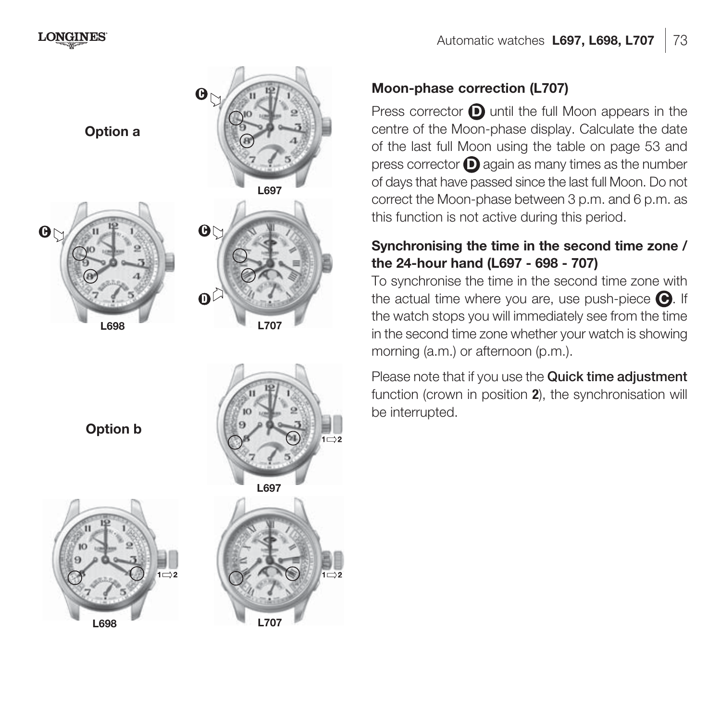

#### **Moon-phase correction (L707)**

Press corrector  $\bigcirc$  until the full Moon appears in the centre of the Moon-phase display. Calculate the date of the last full Moon using the table on page 53 and press corrector **D** again as many times as the number of days that have passed since the last full Moon. Do not correct the Moon-phase between 3 p.m. and 6 p.m. as this function is not active during this period.

#### **Synchronising the time in the second time zone / the 24-hour hand (L697 - 698 - 707)**

To synchronise the time in the second time zone with the actual time where you are, use push-piece **C** . If the watch stops you will immediately see from the time in the second time zone whether your watch is showing morning (a.m.) or afternoon (p.m.).

Please note that if you use the **Quick time adjustment**  function (crown in position **2**), the synchronisation will be interrupted.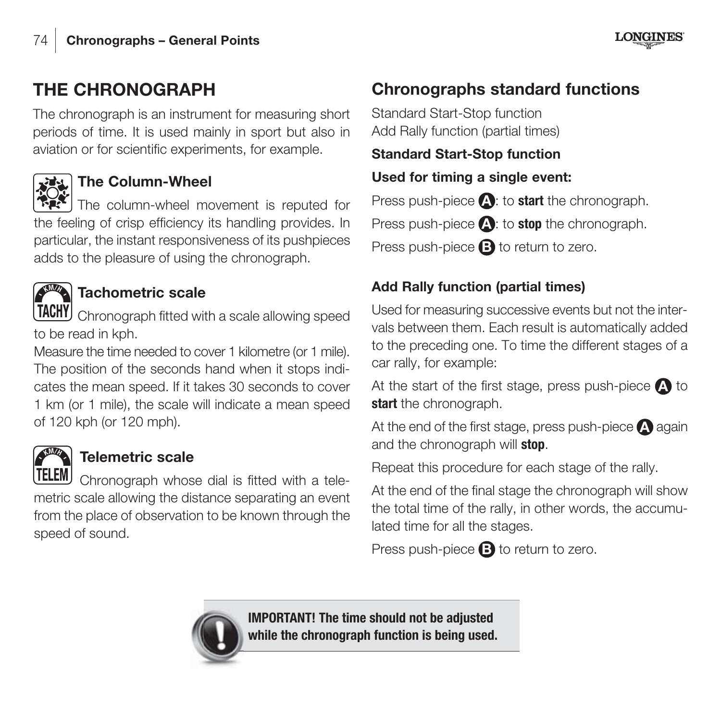# **THE CHRONOGRAPH**

The chronograph is an instrument for measuring short periods of time. It is used mainly in sport but also in aviation or for scientific experiments, for example.



# **The Column-Wheel**

The column-wheel movement is reputed for the feeling of crisp efficiency its handling provides. In particular, the instant responsiveness of its pushpieces adds to the pleasure of using the chronograph.



# **Tachometric scale**

Chronograph fitted with a scale allowing speed to be read in kph.

Measure the time needed to cover 1 kilometre (or 1 mile). The position of the seconds hand when it stops indicates the mean speed. If it takes 30 seconds to cover 1 km (or 1 mile), the scale will indicate a mean speed of 120 kph (or 120 mph).



# **Telemetric scale**

Chronograph whose dial is fitted with a telemetric scale allowing the distance separating an event from the place of observation to be known through the speed of sound.

# **Chronographs standard functions**

Standard Start-Stop function Add Rally function (partial times)

#### **Standard Start-Stop function**

#### **Used for timing a single event:**

Press push-piece **A** : to **start** the chronograph.

Press push-piece **A**: to **stop** the chronograph.

Press push-piece **B** to return to zero.

# **Add Rally function (partial times)**

Used for measuring successive events but not the intervals between them. Each result is automatically added to the preceding one. To time the different stages of a car rally, for example:

At the start of the first stage, press push-piece **A** to start the chronograph.

At the end of the first stage, press push-piece **A** again and the chronograph will **stop**.

Repeat this procedure for each stage of the rally.

At the end of the final stage the chronograph will show the total time of the rally, in other words, the accumulated time for all the stages.

Press push-piece **B** to return to zero.



**IMPORTANT! The time should not be adjusted while the chronograph function is being used.**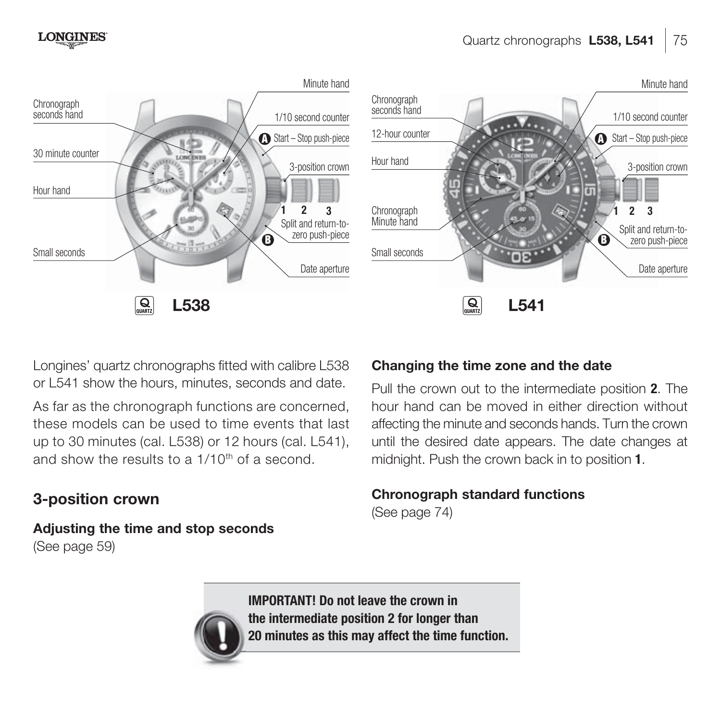

Longines' quartz chronographs fitted with calibre L538 or L541 show the hours, minutes, seconds and date.

As far as the chronograph functions are concerned. these models can be used to time events that last up to 30 minutes (cal. L538) or 12 hours (cal. L541), and show the results to a 1/10th of a second.

# **3-position crown**

**Adjusting the time and stop seconds** (See page 59)

#### **Changing the time zone and the date**

Pull the crown out to the intermediate position **2**. The hour hand can be moved in either direction without affecting the minute and seconds hands. Turn the crown until the desired date appears. The date changes at midnight. Push the crown back in to position **1**.

#### **Chronograph standard functions**

(See page 74)



**IMPORTANT! Do not leave the crown in the intermediate position 2 for longer than 20 minutes as this may affect the time function.**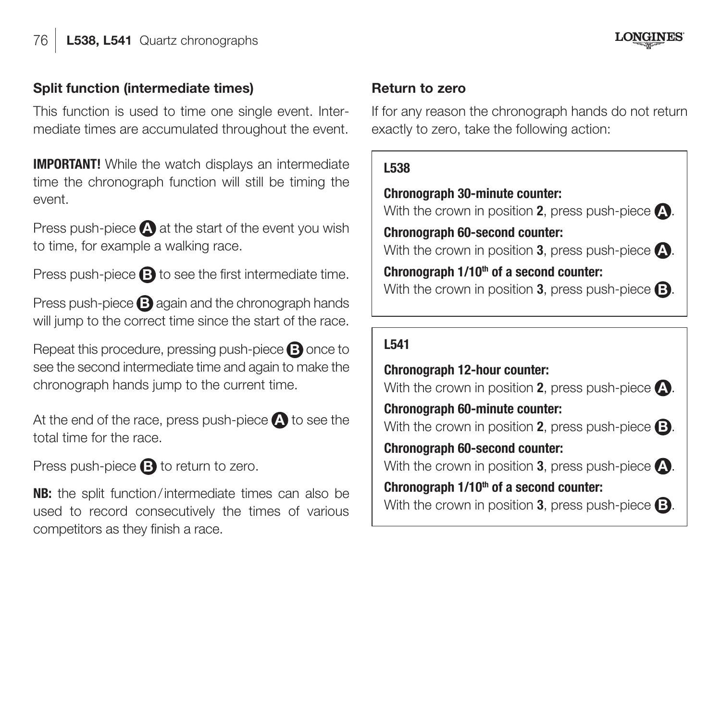# **LONGINES**

#### **Split function (intermediate times)**

This function is used to time one single event. Intermediate times are accumulated throughout the event.

**IMPORTANT!** While the watch displays an intermediate time the chronograph function will still be timing the event.

Press push-piece **A** at the start of the event you wish to time, for example a walking race.

Press push-piece **B** to see the first intermediate time.

Press push-piece **B** again and the chronograph hands will jump to the correct time since the start of the race.

Repeat this procedure, pressing push-piece **B** once to see the second intermediate time and again to make the chronograph hands jump to the current time.

At the end of the race, press push-piece **A** to see the total time for the race.

Press push-piece **B** to return to zero.

**NB:** the split function / intermediate times can also be used to record consecutively the times of various competitors as they finish a race.

#### **Return to zero**

If for any reason the chronograph hands do not return exactly to zero, take the following action:

#### **L538**

**Chronograph 30-minute counter:** With the crown in position **2**, press push-piece **A** . **Chronograph 60-second counter:** With the crown in position **3**, press push-piece  $\Omega$ . Chronograph 1/10<sup>th</sup> of a second counter: With the crown in position **3**, press push-piece **B**.

#### **L541**

**Chronograph 12-hour counter:** With the crown in position **2**, press push-piece **A** . **Chronograph 60-minute counter:** With the crown in position **2**, press push-piece **B** . **Chronograph 60-second counter:** With the crown in position **3**, press push-piece **A** . Chronograph  $1/10<sup>th</sup>$  of a second counter: With the crown in position **3**, press push-piece **B** .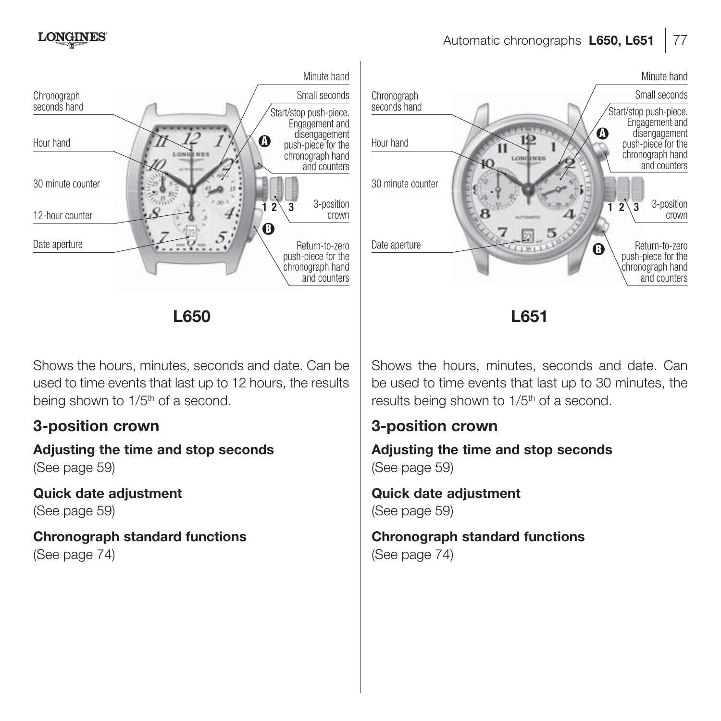



Shows the hours, minutes, seconds and date. Can be used to time events that last up to 12 hours, the results being shown to 1/5<sup>th</sup> of a second.

# **3-position crown**

**Adjusting the time and stop seconds** (See page 59)

**Quick date adjustment**  (See page 59)

**Chronograph standard functions** (See page 74)

Shows the hours, minutes, seconds and date. Can be used to time events that last up to 30 minutes, the results being shown to 1/5<sup>th</sup> of a second.

#### **3-position crown**

**Adjusting the time and stop seconds** (See page 59)

**Quick date adjustment**  (See page 59)

**Chronograph standard functions** (See page 74)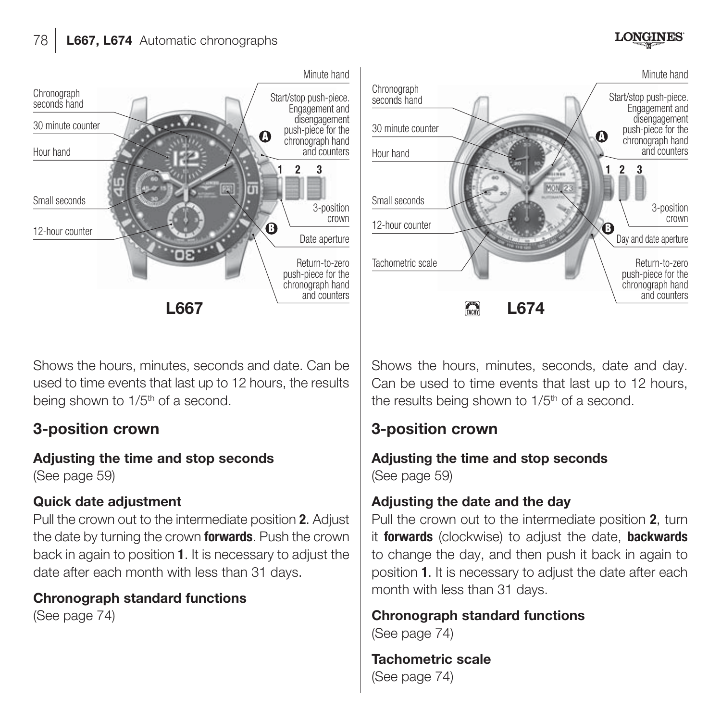# seconds hand Chronograph Start/stop push-piece. seconds hand Engagement and disengagement 30 minute counter Counter Counter Counter Counter Counter Counter Counter Counter Counter Counter Counter Counter Counter Counter Counter Counter Counter Counter Counter Counter Counter Counter Counter Counter Counter Coun push-piece for the Hour hand **Hour hand** 帀 Small seconds Small seconds 12-hour counter 12-hour counter Return-to-zero<br>push-piece for the<br>chronograph hand and counters

Shows the hours, minutes, seconds and date. Can be used to time events that last up to 12 hours, the results being shown to 1/5<sup>th</sup> of a second.

# **3-position crown**

**Adjusting the time and stop seconds** (See page 59)

#### **Quick date adjustment**

Pull the crown out to the intermediate position **2**. Adjust the date by turning the crown **forwards**. Push the crown back in again to position **1**. It is necessary to adjust the date after each month with less than 31 days.

**Chronograph standard functions** (See page 74)

Shows the hours, minutes, seconds, date and day. Can be used to time events that last up to 12 hours, the results being shown to 1/5<sup>th</sup> of a second.

# **3-position crown**

**Adjusting the time and stop seconds**  (See page 59)

#### **Adjusting the date and the day**

Pull the crown out to the intermediate position **2**, turn it **forwards** (clockwise) to adjust the date, **backwards** to change the day, and then push it back in again to position **1**. It is necessary to adjust the date after each month with less than 31 days.

**Chronograph standard functions** (See page 74)

**Tachometric scale** (See page 74)



**LONGINES**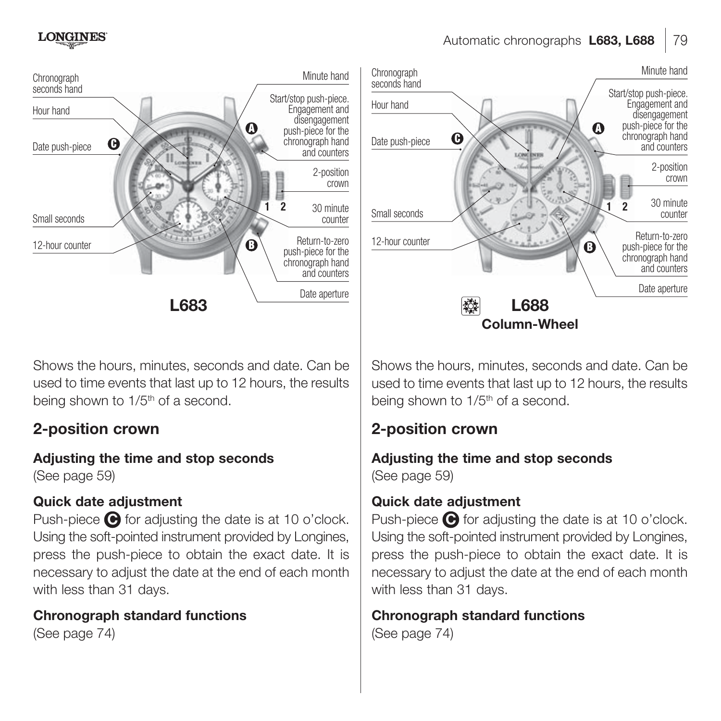

Shows the hours, minutes, seconds and date. Can be used to time events that last up to 12 hours, the results being shown to 1/5<sup>th</sup> of a second.

# **2-position crown**

**Adjusting the time and stop seconds** (See page 59)

#### **Quick date adjustment**

Push-piece  $\bigodot$  for adjusting the date is at 10 o'clock. Using the soft-pointed instrument provided by Longines, press the push-piece to obtain the exact date. It is necessary to adjust the date at the end of each month with less than 31 days.

**Chronograph standard functions** (See page 74)



Automatic chronographs **L683, L688**

Shows the hours, minutes, seconds and date. Can be. used to time events that last up to 12 hours, the results being shown to 1/5<sup>th</sup> of a second.

# **2-position crown**

#### **Adjusting the time and stop seconds** (See page 59)

# **Quick date adjustment**

Push-piece  $\bigodot$  for adjusting the date is at 10 o'clock. Using the soft-pointed instrument provided by Longines, press the push-piece to obtain the exact date. It is necessary to adjust the date at the end of each month with less than 31 days.

**Chronograph standard functions** (See page 74)

79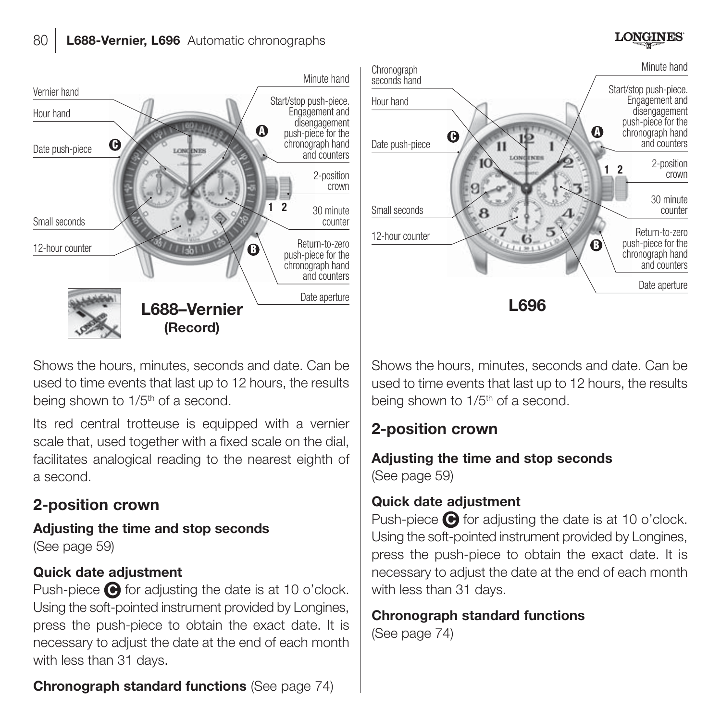#### **LONGINES**



Shows the hours, minutes, seconds and date. Can be used to time events that last up to 12 hours, the results being shown to 1/5<sup>th</sup> of a second.

Its red central trotteuse is equipped with a vernier scale that, used together with a fixed scale on the dial, facilitates analogical reading to the nearest eighth of a second.

# **2-position crown**

**Adjusting the time and stop seconds**  (See page 59)

#### **Quick date adjustment**

Push-piece  $\bigodot$  for adjusting the date is at 10 o'clock. Using the soft-pointed instrument provided by Longines, press the push-piece to obtain the exact date. It is necessary to adjust the date at the end of each month with less than 31 days.



Shows the hours, minutes, seconds and date. Can be. used to time events that last up to 12 hours, the results being shown to 1/5<sup>th</sup> of a second.

# **2-position crown**

#### **Adjusting the time and stop seconds** (See page 59)

# **Quick date adjustment**

Push-piece  $\bigodot$  for adjusting the date is at 10 o'clock. Using the soft-pointed instrument provided by Longines, press the push-piece to obtain the exact date. It is necessary to adjust the date at the end of each month with less than 31 days.

#### **Chronograph standard functions** (See page 74)

**Chronograph standard functions** (See page 74)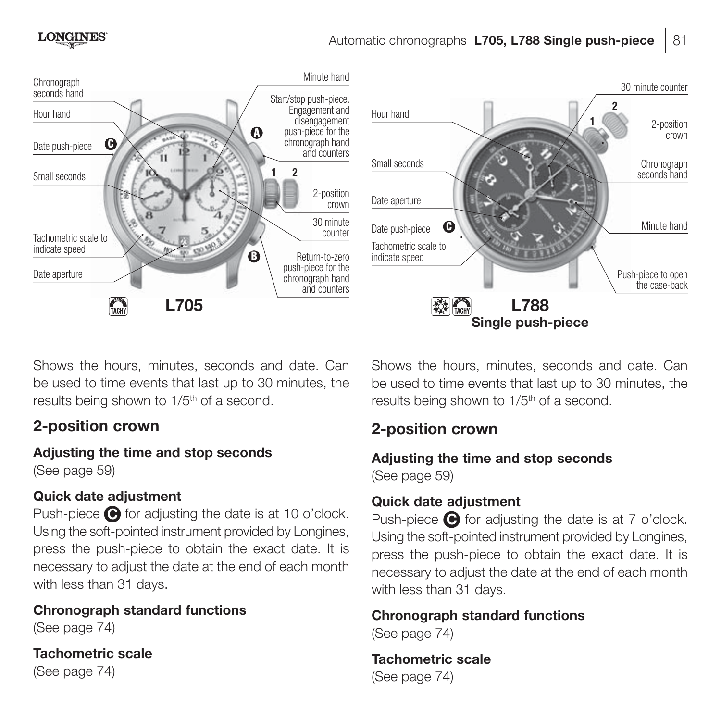

Shows the hours, minutes, seconds and date. Can be used to time events that last up to 30 minutes, the results being shown to 1/5<sup>th</sup> of a second.

# **2-position crown**

**Adjusting the time and stop seconds**

(See page 59)

# **Quick date adjustment**

Push-piece  $\bigodot$  for adjusting the date is at 10 o'clock. Using the soft-pointed instrument provided by Longines, press the push-piece to obtain the exact date. It is necessary to adjust the date at the end of each month with less than 31 days.

**Chronograph standard functions** (See page 74)

**Tachometric scale** (See page 74)



Shows the hours, minutes, seconds and date. Can be used to time events that last up to 30 minutes, the results being shown to 1/5<sup>th</sup> of a second.

# **2-position crown**

#### **Adjusting the time and stop seconds** (See page 59)

# **Quick date adjustment**

Push-piece  $\bigodot$  for adjusting the date is at 7 o'clock. Using the soft-pointed instrument provided by Longines, press the push-piece to obtain the exact date. It is necessary to adjust the date at the end of each month with less than 31 days.

**Chronograph standard functions** (See page 74)

**Tachometric scale** (See page 74)